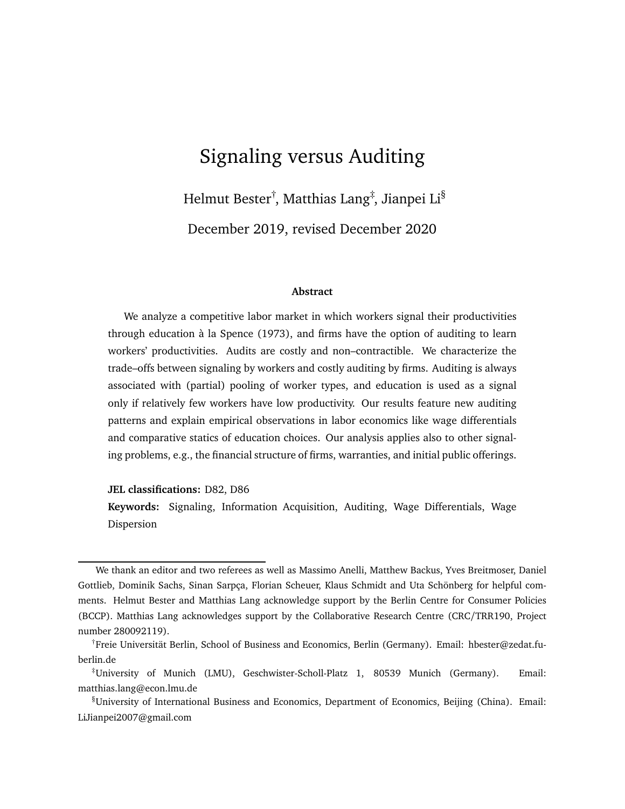# Signaling versus Auditing

Helmut Bester†, Matthias Lang‡, Jianpei Li $^{\S}$ December 2019, revised December 2020

#### **Abstract**

We analyze a competitive labor market in which workers signal their productivities through education à la Spence (1973), and firms have the option of auditing to learn workers' productivities. Audits are costly and non–contractible. We characterize the trade–offs between signaling by workers and costly auditing by firms. Auditing is always associated with (partial) pooling of worker types, and education is used as a signal only if relatively few workers have low productivity. Our results feature new auditing patterns and explain empirical observations in labor economics like wage differentials and comparative statics of education choices. Our analysis applies also to other signaling problems, e.g., the financial structure of firms, warranties, and initial public offerings.

**JEL classifications:** D82, D86

**Keywords:** Signaling, Information Acquisition, Auditing, Wage Differentials, Wage Dispersion

We thank an editor and two referees as well as Massimo Anelli, Matthew Backus, Yves Breitmoser, Daniel Gottlieb, Dominik Sachs, Sinan Sarpça, Florian Scheuer, Klaus Schmidt and Uta Schönberg for helpful comments. Helmut Bester and Matthias Lang acknowledge support by the Berlin Centre for Consumer Policies (BCCP). Matthias Lang acknowledges support by the Collaborative Research Centre (CRC/TRR190, Project number 280092119).

<sup>†</sup>Freie Universität Berlin, School of Business and Economics, Berlin (Germany). Email: hbester@zedat.fuberlin.de

<sup>‡</sup>University of Munich (LMU), Geschwister-Scholl-Platz 1, 80539 Munich (Germany). Email: matthias.lang@econ.lmu.de

<sup>§</sup>University of International Business and Economics, Department of Economics, Beijing (China). Email: LiJianpei2007@gmail.com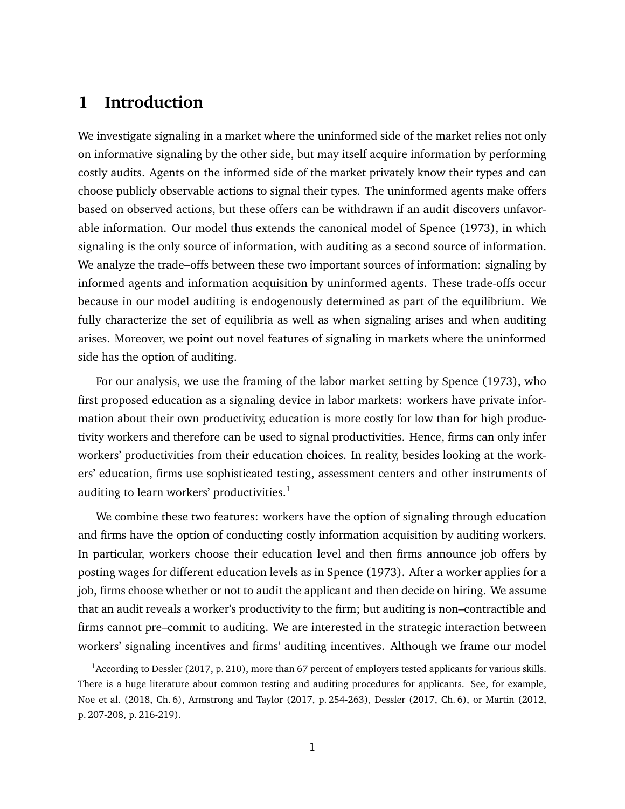# **1 Introduction**

We investigate signaling in a market where the uninformed side of the market relies not only on informative signaling by the other side, but may itself acquire information by performing costly audits. Agents on the informed side of the market privately know their types and can choose publicly observable actions to signal their types. The uninformed agents make offers based on observed actions, but these offers can be withdrawn if an audit discovers unfavorable information. Our model thus extends the canonical model of Spence (1973), in which signaling is the only source of information, with auditing as a second source of information. We analyze the trade–offs between these two important sources of information: signaling by informed agents and information acquisition by uninformed agents. These trade-offs occur because in our model auditing is endogenously determined as part of the equilibrium. We fully characterize the set of equilibria as well as when signaling arises and when auditing arises. Moreover, we point out novel features of signaling in markets where the uninformed side has the option of auditing.

For our analysis, we use the framing of the labor market setting by Spence (1973), who first proposed education as a signaling device in labor markets: workers have private information about their own productivity, education is more costly for low than for high productivity workers and therefore can be used to signal productivities. Hence, firms can only infer workers' productivities from their education choices. In reality, besides looking at the workers' education, firms use sophisticated testing, assessment centers and other instruments of auditing to learn workers' productivities. $<sup>1</sup>$  $<sup>1</sup>$  $<sup>1</sup>$ </sup>

We combine these two features: workers have the option of signaling through education and firms have the option of conducting costly information acquisition by auditing workers. In particular, workers choose their education level and then firms announce job offers by posting wages for different education levels as in Spence (1973). After a worker applies for a job, firms choose whether or not to audit the applicant and then decide on hiring. We assume that an audit reveals a worker's productivity to the firm; but auditing is non–contractible and firms cannot pre–commit to auditing. We are interested in the strategic interaction between workers' signaling incentives and firms' auditing incentives. Although we frame our model

<span id="page-1-0"></span><sup>&</sup>lt;sup>1</sup> According to Dessler (2017, p. 210), more than 67 percent of employers tested applicants for various skills. There is a huge literature about common testing and auditing procedures for applicants. See, for example, Noe et al. (2018, Ch. 6), Armstrong and Taylor (2017, p. 254-263), Dessler (2017, Ch. 6), or Martin (2012, p. 207-208, p. 216-219).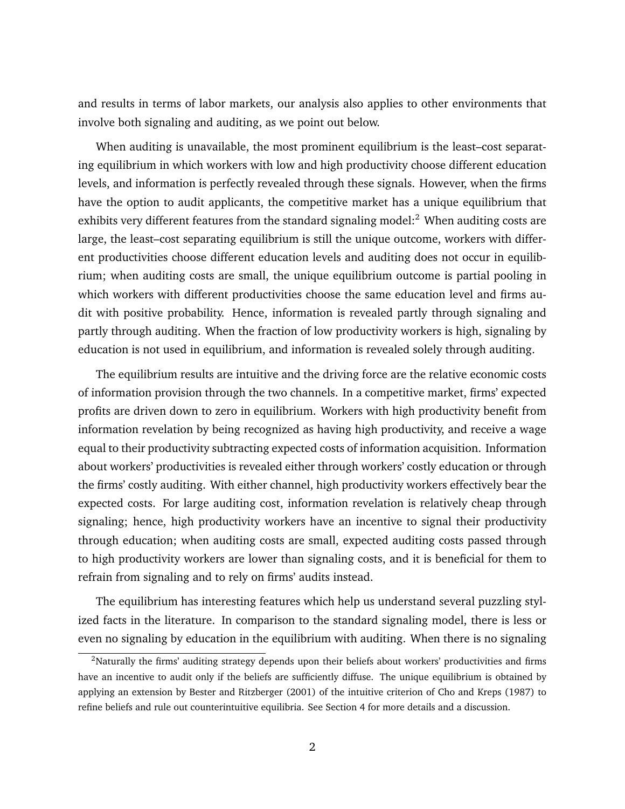and results in terms of labor markets, our analysis also applies to other environments that involve both signaling and auditing, as we point out below.

When auditing is unavailable, the most prominent equilibrium is the least–cost separating equilibrium in which workers with low and high productivity choose different education levels, and information is perfectly revealed through these signals. However, when the firms have the option to audit applicants, the competitive market has a unique equilibrium that exhibits very different features from the standard signaling model: $2$  When auditing costs are large, the least–cost separating equilibrium is still the unique outcome, workers with different productivities choose different education levels and auditing does not occur in equilibrium; when auditing costs are small, the unique equilibrium outcome is partial pooling in which workers with different productivities choose the same education level and firms audit with positive probability. Hence, information is revealed partly through signaling and partly through auditing. When the fraction of low productivity workers is high, signaling by education is not used in equilibrium, and information is revealed solely through auditing.

The equilibrium results are intuitive and the driving force are the relative economic costs of information provision through the two channels. In a competitive market, firms' expected profits are driven down to zero in equilibrium. Workers with high productivity benefit from information revelation by being recognized as having high productivity, and receive a wage equal to their productivity subtracting expected costs of information acquisition. Information about workers' productivities is revealed either through workers' costly education or through the firms' costly auditing. With either channel, high productivity workers effectively bear the expected costs. For large auditing cost, information revelation is relatively cheap through signaling; hence, high productivity workers have an incentive to signal their productivity through education; when auditing costs are small, expected auditing costs passed through to high productivity workers are lower than signaling costs, and it is beneficial for them to refrain from signaling and to rely on firms' audits instead.

The equilibrium has interesting features which help us understand several puzzling stylized facts in the literature. In comparison to the standard signaling model, there is less or even no signaling by education in the equilibrium with auditing. When there is no signaling

<span id="page-2-0"></span><sup>&</sup>lt;sup>2</sup>Naturally the firms' auditing strategy depends upon their beliefs about workers' productivities and firms have an incentive to audit only if the beliefs are sufficiently diffuse. The unique equilibrium is obtained by applying an extension by Bester and Ritzberger (2001) of the intuitive criterion of Cho and Kreps (1987) to refine beliefs and rule out counterintuitive equilibria. See Section [4](#page-13-0) for more details and a discussion.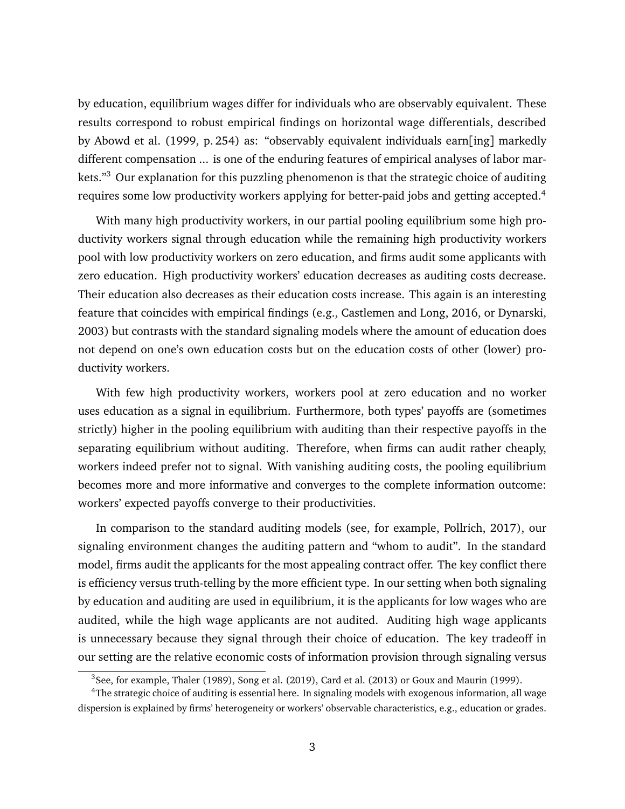by education, equilibrium wages differ for individuals who are observably equivalent. These results correspond to robust empirical findings on horizontal wage differentials, described by Abowd et al. (1999, p. 254) as: "observably equivalent individuals earn[ing] markedly different compensation ... is one of the enduring features of empirical analyses of labor mar-kets."<sup>[3](#page-3-0)</sup> Our explanation for this puzzling phenomenon is that the strategic choice of auditing requires some low productivity workers applying for better-paid jobs and getting accepted.<sup>[4](#page-3-1)</sup>

With many high productivity workers, in our partial pooling equilibrium some high productivity workers signal through education while the remaining high productivity workers pool with low productivity workers on zero education, and firms audit some applicants with zero education. High productivity workers' education decreases as auditing costs decrease. Their education also decreases as their education costs increase. This again is an interesting feature that coincides with empirical findings (e.g., Castlemen and Long, 2016, or Dynarski, 2003) but contrasts with the standard signaling models where the amount of education does not depend on one's own education costs but on the education costs of other (lower) productivity workers.

With few high productivity workers, workers pool at zero education and no worker uses education as a signal in equilibrium. Furthermore, both types' payoffs are (sometimes strictly) higher in the pooling equilibrium with auditing than their respective payoffs in the separating equilibrium without auditing. Therefore, when firms can audit rather cheaply, workers indeed prefer not to signal. With vanishing auditing costs, the pooling equilibrium becomes more and more informative and converges to the complete information outcome: workers' expected payoffs converge to their productivities.

In comparison to the standard auditing models (see, for example, Pollrich, 2017), our signaling environment changes the auditing pattern and "whom to audit". In the standard model, firms audit the applicants for the most appealing contract offer. The key conflict there is efficiency versus truth-telling by the more efficient type. In our setting when both signaling by education and auditing are used in equilibrium, it is the applicants for low wages who are audited, while the high wage applicants are not audited. Auditing high wage applicants is unnecessary because they signal through their choice of education. The key tradeoff in our setting are the relative economic costs of information provision through signaling versus

<span id="page-3-1"></span><span id="page-3-0"></span> $3$ See, for example, Thaler (1989), Song et al. (2019), Card et al. (2013) or Goux and Maurin (1999).

<sup>4</sup>The strategic choice of auditing is essential here. In signaling models with exogenous information, all wage dispersion is explained by firms' heterogeneity or workers' observable characteristics, e.g., education or grades.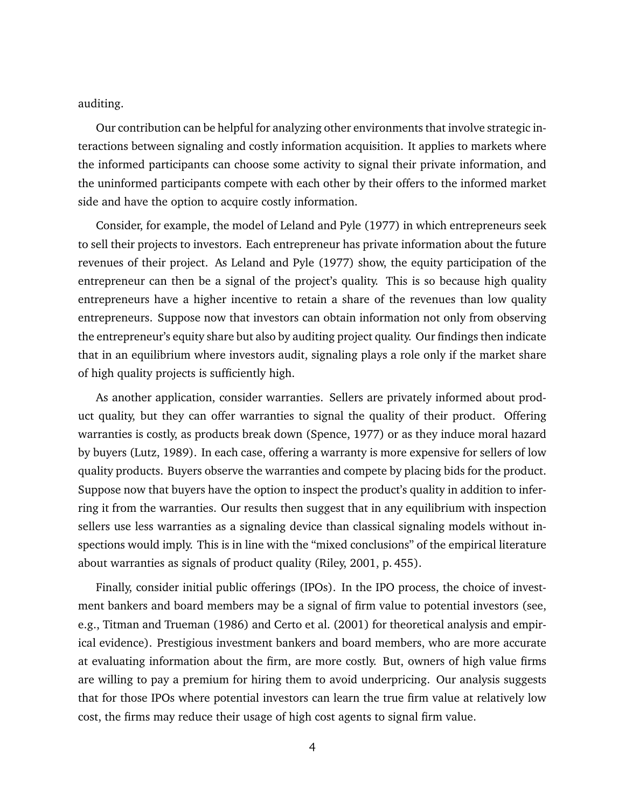auditing.

Our contribution can be helpful for analyzing other environments that involve strategic interactions between signaling and costly information acquisition. It applies to markets where the informed participants can choose some activity to signal their private information, and the uninformed participants compete with each other by their offers to the informed market side and have the option to acquire costly information.

Consider, for example, the model of Leland and Pyle (1977) in which entrepreneurs seek to sell their projects to investors. Each entrepreneur has private information about the future revenues of their project. As Leland and Pyle (1977) show, the equity participation of the entrepreneur can then be a signal of the project's quality. This is so because high quality entrepreneurs have a higher incentive to retain a share of the revenues than low quality entrepreneurs. Suppose now that investors can obtain information not only from observing the entrepreneur's equity share but also by auditing project quality. Our findings then indicate that in an equilibrium where investors audit, signaling plays a role only if the market share of high quality projects is sufficiently high.

As another application, consider warranties. Sellers are privately informed about product quality, but they can offer warranties to signal the quality of their product. Offering warranties is costly, as products break down (Spence, 1977) or as they induce moral hazard by buyers (Lutz, 1989). In each case, offering a warranty is more expensive for sellers of low quality products. Buyers observe the warranties and compete by placing bids for the product. Suppose now that buyers have the option to inspect the product's quality in addition to inferring it from the warranties. Our results then suggest that in any equilibrium with inspection sellers use less warranties as a signaling device than classical signaling models without inspections would imply. This is in line with the "mixed conclusions" of the empirical literature about warranties as signals of product quality (Riley, 2001, p. 455).

Finally, consider initial public offerings (IPOs). In the IPO process, the choice of investment bankers and board members may be a signal of firm value to potential investors (see, e.g., Titman and Trueman (1986) and Certo et al. (2001) for theoretical analysis and empirical evidence). Prestigious investment bankers and board members, who are more accurate at evaluating information about the firm, are more costly. But, owners of high value firms are willing to pay a premium for hiring them to avoid underpricing. Our analysis suggests that for those IPOs where potential investors can learn the true firm value at relatively low cost, the firms may reduce their usage of high cost agents to signal firm value.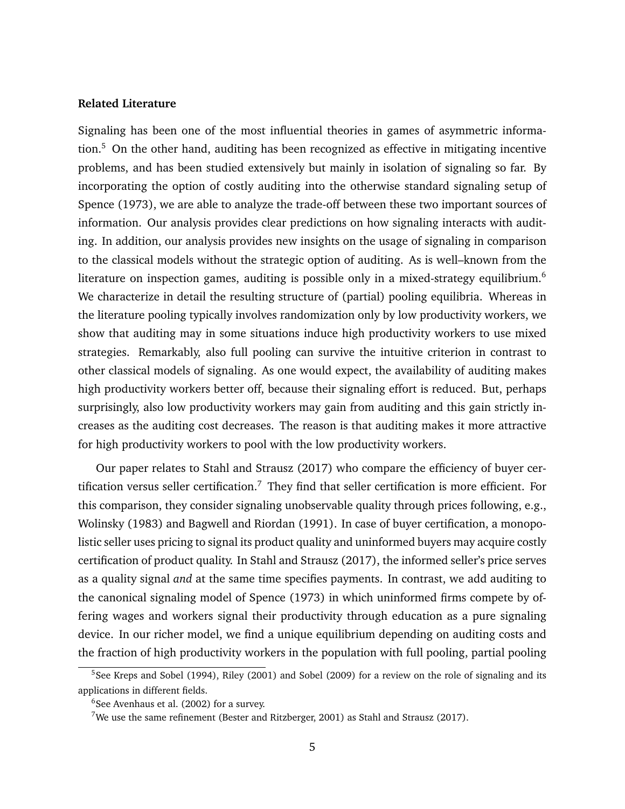#### **Related Literature**

Signaling has been one of the most influential theories in games of asymmetric informa-tion.<sup>[5](#page-5-0)</sup> On the other hand, auditing has been recognized as effective in mitigating incentive problems, and has been studied extensively but mainly in isolation of signaling so far. By incorporating the option of costly auditing into the otherwise standard signaling setup of Spence (1973), we are able to analyze the trade-off between these two important sources of information. Our analysis provides clear predictions on how signaling interacts with auditing. In addition, our analysis provides new insights on the usage of signaling in comparison to the classical models without the strategic option of auditing. As is well–known from the literature on inspection games, auditing is possible only in a mixed-strategy equilibrium.<sup>[6](#page-5-1)</sup> We characterize in detail the resulting structure of (partial) pooling equilibria. Whereas in the literature pooling typically involves randomization only by low productivity workers, we show that auditing may in some situations induce high productivity workers to use mixed strategies. Remarkably, also full pooling can survive the intuitive criterion in contrast to other classical models of signaling. As one would expect, the availability of auditing makes high productivity workers better off, because their signaling effort is reduced. But, perhaps surprisingly, also low productivity workers may gain from auditing and this gain strictly increases as the auditing cost decreases. The reason is that auditing makes it more attractive for high productivity workers to pool with the low productivity workers.

Our paper relates to Stahl and Strausz (2017) who compare the efficiency of buyer cer-tification versus seller certification.<sup>[7](#page-5-2)</sup> They find that seller certification is more efficient. For this comparison, they consider signaling unobservable quality through prices following, e.g., Wolinsky (1983) and Bagwell and Riordan (1991). In case of buyer certification, a monopolistic seller uses pricing to signal its product quality and uninformed buyers may acquire costly certification of product quality. In Stahl and Strausz (2017), the informed seller's price serves as a quality signal *and* at the same time specifies payments. In contrast, we add auditing to the canonical signaling model of Spence (1973) in which uninformed firms compete by offering wages and workers signal their productivity through education as a pure signaling device. In our richer model, we find a unique equilibrium depending on auditing costs and the fraction of high productivity workers in the population with full pooling, partial pooling

<span id="page-5-0"></span><sup>&</sup>lt;sup>5</sup>See Kreps and Sobel (1994), Riley (2001) and Sobel (2009) for a review on the role of signaling and its applications in different fields.

<span id="page-5-1"></span> $6$ See Avenhaus et al. (2002) for a survey.

<span id="page-5-2"></span><sup>&</sup>lt;sup>7</sup>We use the same refinement (Bester and Ritzberger, 2001) as Stahl and Strausz (2017).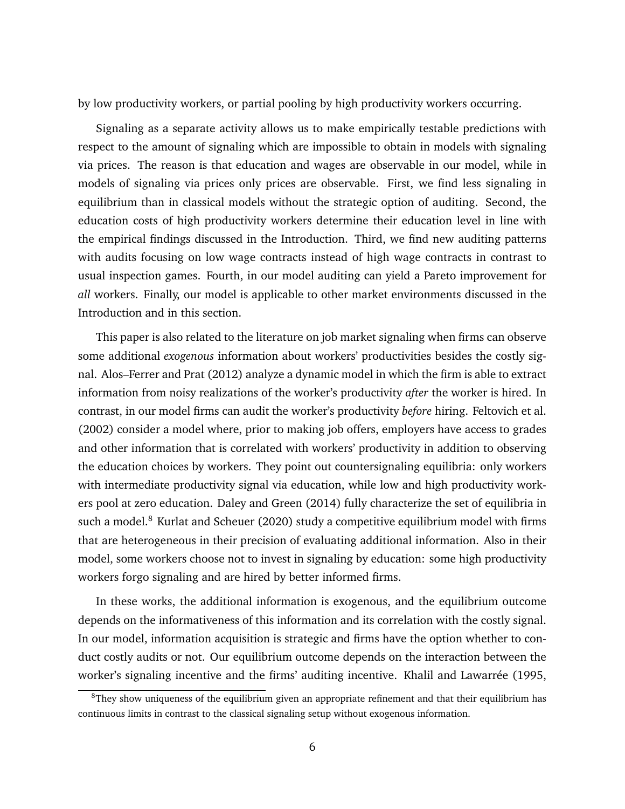by low productivity workers, or partial pooling by high productivity workers occurring.

Signaling as a separate activity allows us to make empirically testable predictions with respect to the amount of signaling which are impossible to obtain in models with signaling via prices. The reason is that education and wages are observable in our model, while in models of signaling via prices only prices are observable. First, we find less signaling in equilibrium than in classical models without the strategic option of auditing. Second, the education costs of high productivity workers determine their education level in line with the empirical findings discussed in the Introduction. Third, we find new auditing patterns with audits focusing on low wage contracts instead of high wage contracts in contrast to usual inspection games. Fourth, in our model auditing can yield a Pareto improvement for *all* workers. Finally, our model is applicable to other market environments discussed in the Introduction and in this section.

This paper is also related to the literature on job market signaling when firms can observe some additional *exogenous* information about workers' productivities besides the costly signal. Alos–Ferrer and Prat (2012) analyze a dynamic model in which the firm is able to extract information from noisy realizations of the worker's productivity *after* the worker is hired. In contrast, in our model firms can audit the worker's productivity *before* hiring. Feltovich et al. (2002) consider a model where, prior to making job offers, employers have access to grades and other information that is correlated with workers' productivity in addition to observing the education choices by workers. They point out countersignaling equilibria: only workers with intermediate productivity signal via education, while low and high productivity workers pool at zero education. Daley and Green (2014) fully characterize the set of equilibria in such a model. $8$  Kurlat and Scheuer (2020) study a competitive equilibrium model with firms that are heterogeneous in their precision of evaluating additional information. Also in their model, some workers choose not to invest in signaling by education: some high productivity workers forgo signaling and are hired by better informed firms.

In these works, the additional information is exogenous, and the equilibrium outcome depends on the informativeness of this information and its correlation with the costly signal. In our model, information acquisition is strategic and firms have the option whether to conduct costly audits or not. Our equilibrium outcome depends on the interaction between the worker's signaling incentive and the firms' auditing incentive. Khalil and Lawarrée (1995,

<span id="page-6-0"></span><sup>&</sup>lt;sup>8</sup>They show uniqueness of the equilibrium given an appropriate refinement and that their equilibrium has continuous limits in contrast to the classical signaling setup without exogenous information.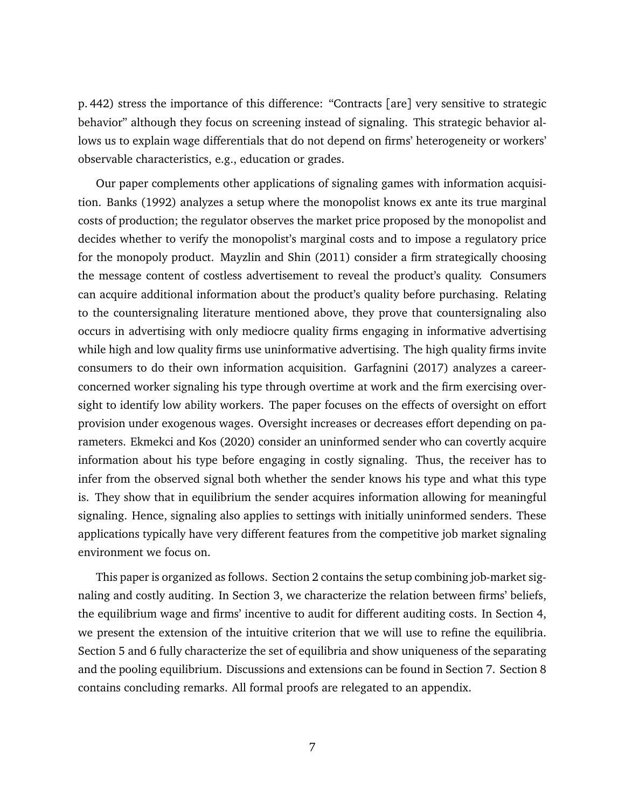p. 442) stress the importance of this difference: "Contracts [are] very sensitive to strategic behavior" although they focus on screening instead of signaling. This strategic behavior allows us to explain wage differentials that do not depend on firms' heterogeneity or workers' observable characteristics, e.g., education or grades.

Our paper complements other applications of signaling games with information acquisition. Banks (1992) analyzes a setup where the monopolist knows ex ante its true marginal costs of production; the regulator observes the market price proposed by the monopolist and decides whether to verify the monopolist's marginal costs and to impose a regulatory price for the monopoly product. Mayzlin and Shin (2011) consider a firm strategically choosing the message content of costless advertisement to reveal the product's quality. Consumers can acquire additional information about the product's quality before purchasing. Relating to the countersignaling literature mentioned above, they prove that countersignaling also occurs in advertising with only mediocre quality firms engaging in informative advertising while high and low quality firms use uninformative advertising. The high quality firms invite consumers to do their own information acquisition. Garfagnini (2017) analyzes a careerconcerned worker signaling his type through overtime at work and the firm exercising oversight to identify low ability workers. The paper focuses on the effects of oversight on effort provision under exogenous wages. Oversight increases or decreases effort depending on parameters. Ekmekci and Kos (2020) consider an uninformed sender who can covertly acquire information about his type before engaging in costly signaling. Thus, the receiver has to infer from the observed signal both whether the sender knows his type and what this type is. They show that in equilibrium the sender acquires information allowing for meaningful signaling. Hence, signaling also applies to settings with initially uninformed senders. These applications typically have very different features from the competitive job market signaling environment we focus on.

This paper is organized as follows. Section [2](#page-8-0) contains the setup combining job-market signaling and costly auditing. In Section [3,](#page-11-0) we characterize the relation between firms' beliefs, the equilibrium wage and firms' incentive to audit for different auditing costs. In Section [4,](#page-13-0) we present the extension of the intuitive criterion that we will use to refine the equilibria. Section [5](#page-16-0) and [6](#page-19-0) fully characterize the set of equilibria and show uniqueness of the separating and the pooling equilibrium. Discussions and extensions can be found in Section [7.](#page-25-0) Section [8](#page-28-0) contains concluding remarks. All formal proofs are relegated to an appendix.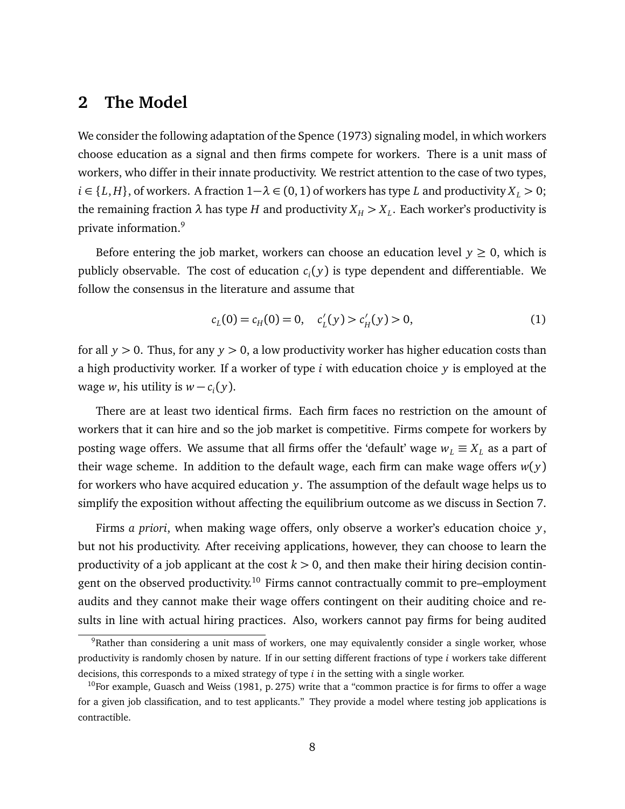### <span id="page-8-0"></span>**2 The Model**

We consider the following adaptation of the Spence (1973) signaling model, in which workers choose education as a signal and then firms compete for workers. There is a unit mass of workers, who differ in their innate productivity. We restrict attention to the case of two types, *i* ∈ {*L*, *H*}, of workers. A fraction  $1 - \lambda$  ∈ (0, 1) of workers has type *L* and productivity  $X_L$  > 0; the remaining fraction  $λ$  has type  $H$  and productivity  $X_H > X_L.$  Each worker's productivity is private information.[9](#page-8-1)

Before entering the job market, workers can choose an education level  $y \ge 0$ , which is publicly observable. The cost of education *c<sup>i</sup>* ( *y*) is type dependent and differentiable. We follow the consensus in the literature and assume that

<span id="page-8-3"></span>
$$
c_L(0) = c_H(0) = 0, \quad c'_L(y) > c'_H(y) > 0,
$$
\n(1)

for all *y >* 0. Thus, for any *y >* 0, a low productivity worker has higher education costs than a high productivity worker. If a worker of type *i* with education choice *y* is employed at the wage *w*, his utility is  $w - c_i(y)$ .

There are at least two identical firms. Each firm faces no restriction on the amount of workers that it can hire and so the job market is competitive. Firms compete for workers by posting wage offers. We assume that all firms offer the 'default' wage  $w_L \equiv X_L$  as a part of their wage scheme. In addition to the default wage, each firm can make wage offers  $w(y)$ for workers who have acquired education *y*. The assumption of the default wage helps us to simplify the exposition without affecting the equilibrium outcome as we discuss in Section [7.](#page-25-0)

Firms *a priori*, when making wage offers, only observe a worker's education choice *y*, but not his productivity. After receiving applications, however, they can choose to learn the productivity of a job applicant at the cost  $k > 0$ , and then make their hiring decision contingent on the observed productivity.[10](#page-8-2) Firms cannot contractually commit to pre–employment audits and they cannot make their wage offers contingent on their auditing choice and results in line with actual hiring practices. Also, workers cannot pay firms for being audited

<span id="page-8-1"></span><sup>&</sup>lt;sup>9</sup>Rather than considering a unit mass of workers, one may equivalently consider a single worker, whose productivity is randomly chosen by nature. If in our setting different fractions of type *i* workers take different decisions, this corresponds to a mixed strategy of type *i* in the setting with a single worker.

<span id="page-8-2"></span><sup>&</sup>lt;sup>10</sup>For example, Guasch and Weiss (1981, p. 275) write that a "common practice is for firms to offer a wage for a given job classification, and to test applicants." They provide a model where testing job applications is contractible.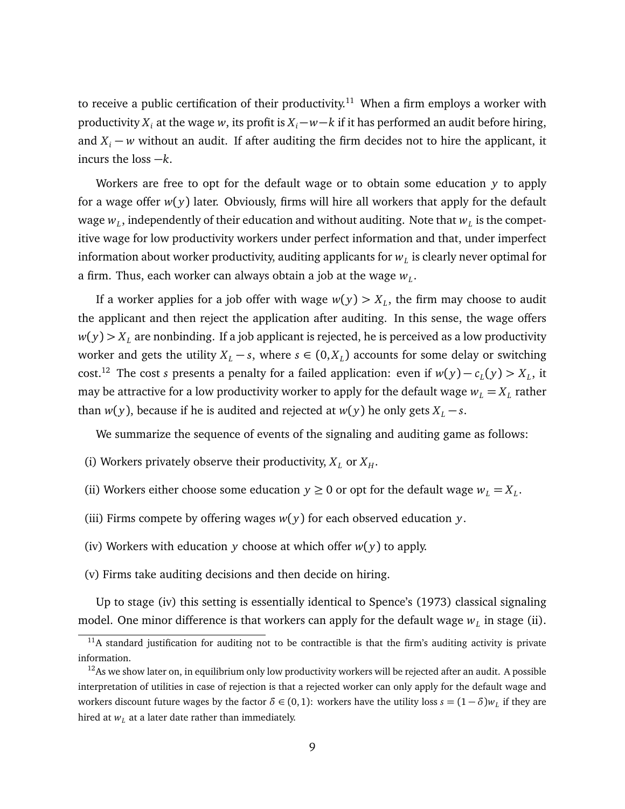to receive a public certification of their productivity.<sup>[11](#page-9-0)</sup> When a firm employs a worker with productivity  $X_i$  at the wage *w*, its profit is  $X_i$  − *w*−*k* if it has performed an audit before hiring, and  $X_i - w$  without an audit. If after auditing the firm decides not to hire the applicant, it incurs the loss −*k*.

Workers are free to opt for the default wage or to obtain some education *y* to apply for a wage offer  $w(y)$  later. Obviously, firms will hire all workers that apply for the default wage  $w_{L}$ , independently of their education and without auditing. Note that  $w_{L}$  is the competitive wage for low productivity workers under perfect information and that, under imperfect information about worker productivity, auditing applicants for  $w_{L}$  is clearly never optimal for a firm. Thus, each worker can always obtain a job at the wage  $w_L$ .

If a worker applies for a job offer with wage  $w(y) > X_L$ , the firm may choose to audit the applicant and then reject the application after auditing. In this sense, the wage offers  $w(y) > X_L$  are nonbinding. If a job applicant is rejected, he is perceived as a low productivity worker and gets the utility  $X_L - s$ , where  $s \in (0, X_L)$  accounts for some delay or switching cost.<sup>[12](#page-9-1)</sup> The cost *s* presents a penalty for a failed application: even if  $w(y) - c_L(y) > X_L$ , it may be attractive for a low productivity worker to apply for the default wage  $w_{L}=X_{L}$  rather than *w*(*y*), because if he is audited and rejected at *w*(*y*) he only gets  $X_L - s$ .

We summarize the sequence of events of the signaling and auditing game as follows:

- (i) Workers privately observe their productivity,  $X_L$  or  $X_H$ .
- (ii) Workers either choose some education  $y \ge 0$  or opt for the default wage  $w_L = X_L$ .
- (iii) Firms compete by offering wages  $w(y)$  for each observed education  $y$ .
- (iv) Workers with education *y* choose at which offer *w*( *y*) to apply.
- (v) Firms take auditing decisions and then decide on hiring.

Up to stage (iv) this setting is essentially identical to Spence's (1973) classical signaling model. One minor difference is that workers can apply for the default wage  $w_L$  in stage (ii).

<span id="page-9-0"></span> $11A$  standard justification for auditing not to be contractible is that the firm's auditing activity is private information.

<span id="page-9-1"></span> $12$ As we show later on, in equilibrium only low productivity workers will be rejected after an audit. A possible interpretation of utilities in case of rejection is that a rejected worker can only apply for the default wage and workers discount future wages by the factor  $\delta \in (0,1)$ : workers have the utility loss  $s = (1-\delta)w_L$  if they are hired at  $w_L$  at a later date rather than immediately.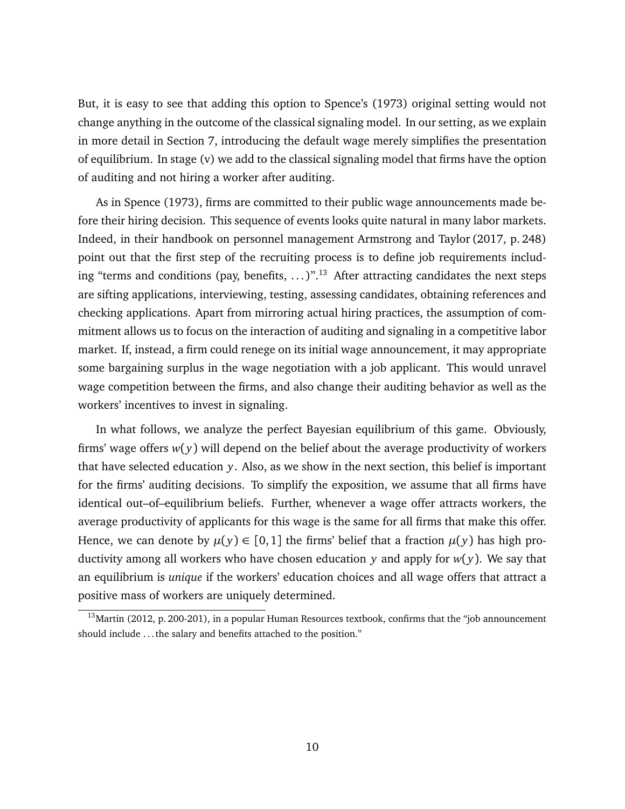But, it is easy to see that adding this option to Spence's (1973) original setting would not change anything in the outcome of the classical signaling model. In our setting, as we explain in more detail in Section [7,](#page-25-0) introducing the default wage merely simplifies the presentation of equilibrium. In stage (v) we add to the classical signaling model that firms have the option of auditing and not hiring a worker after auditing.

As in Spence (1973), firms are committed to their public wage announcements made before their hiring decision. This sequence of events looks quite natural in many labor markets. Indeed, in their handbook on personnel management Armstrong and Taylor (2017, p. 248) point out that the first step of the recruiting process is to define job requirements including "terms and conditions (pay, benefits,  $\ldots$ )".<sup>[13](#page-10-0)</sup> After attracting candidates the next steps are sifting applications, interviewing, testing, assessing candidates, obtaining references and checking applications. Apart from mirroring actual hiring practices, the assumption of commitment allows us to focus on the interaction of auditing and signaling in a competitive labor market. If, instead, a firm could renege on its initial wage announcement, it may appropriate some bargaining surplus in the wage negotiation with a job applicant. This would unravel wage competition between the firms, and also change their auditing behavior as well as the workers' incentives to invest in signaling.

In what follows, we analyze the perfect Bayesian equilibrium of this game. Obviously, firms' wage offers  $w(y)$  will depend on the belief about the average productivity of workers that have selected education *y*. Also, as we show in the next section, this belief is important for the firms' auditing decisions. To simplify the exposition, we assume that all firms have identical out–of–equilibrium beliefs. Further, whenever a wage offer attracts workers, the average productivity of applicants for this wage is the same for all firms that make this offer. Hence, we can denote by  $\mu(y) \in [0,1]$  the firms' belief that a fraction  $\mu(y)$  has high productivity among all workers who have chosen education *y* and apply for *w*( *y*). We say that an equilibrium is *unique* if the workers' education choices and all wage offers that attract a positive mass of workers are uniquely determined.

<span id="page-10-0"></span> $13$ Martin (2012, p. 200-201), in a popular Human Resources textbook, confirms that the "job announcement should include . . . the salary and benefits attached to the position."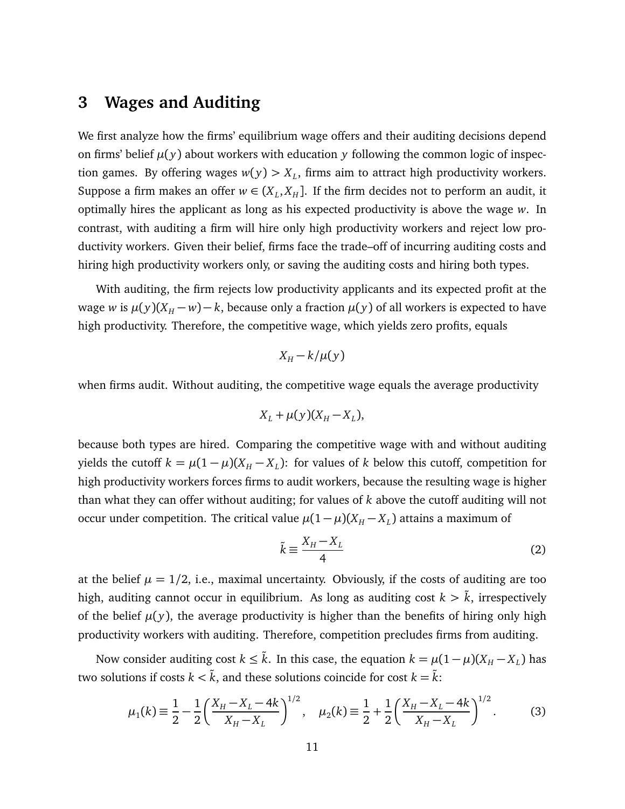# <span id="page-11-0"></span>**3 Wages and Auditing**

We first analyze how the firms' equilibrium wage offers and their auditing decisions depend on firms' belief  $\mu(y)$  about workers with education y following the common logic of inspection games. By offering wages  $w(y) > X_L$ , firms aim to attract high productivity workers. Suppose a firm makes an offer  $w \in (X_L, X_H]$ . If the firm decides not to perform an audit, it optimally hires the applicant as long as his expected productivity is above the wage *w*. In contrast, with auditing a firm will hire only high productivity workers and reject low productivity workers. Given their belief, firms face the trade–off of incurring auditing costs and hiring high productivity workers only, or saving the auditing costs and hiring both types.

With auditing, the firm rejects low productivity applicants and its expected profit at the wage *w* is  $\mu(y)(X_H - w) - k$ , because only a fraction  $\mu(y)$  of all workers is expected to have high productivity. Therefore, the competitive wage, which yields zero profits, equals

$$
X_H - k/\mu(y)
$$

when firms audit. Without auditing, the competitive wage equals the average productivity

$$
X_L + \mu(y)(X_H - X_L),
$$

because both types are hired. Comparing the competitive wage with and without auditing yields the cutoff  $k = \mu(1 - \mu)(X_H - X_L)$ : for values of *k* below this cutoff, competition for high productivity workers forces firms to audit workers, because the resulting wage is higher than what they can offer without auditing; for values of *k* above the cutoff auditing will not occur under competition. The critical value  $\mu(1-\mu)(X_H - X_L)$  attains a maximum of

<span id="page-11-1"></span>
$$
\tilde{k} \equiv \frac{X_H - X_L}{4} \tag{2}
$$

at the belief  $\mu = 1/2$ , i.e., maximal uncertainty. Obviously, if the costs of auditing are too high, auditing cannot occur in equilibrium. As long as auditing cost  $k > \tilde{k}$ , irrespectively of the belief  $\mu(y)$ , the average productivity is higher than the benefits of hiring only high productivity workers with auditing. Therefore, competition precludes firms from auditing.

Now consider auditing cost  $k \leq \tilde{k}$ . In this case, the equation  $k = \mu(1-\mu)(X_H - X_L)$  has two solutions if costs  $k < \tilde{k}$ , and these solutions coincide for cost  $k = \tilde{k}$ :

$$
\mu_1(k) \equiv \frac{1}{2} - \frac{1}{2} \left( \frac{X_H - X_L - 4k}{X_H - X_L} \right)^{1/2}, \quad \mu_2(k) \equiv \frac{1}{2} + \frac{1}{2} \left( \frac{X_H - X_L - 4k}{X_H - X_L} \right)^{1/2}.
$$
 (3)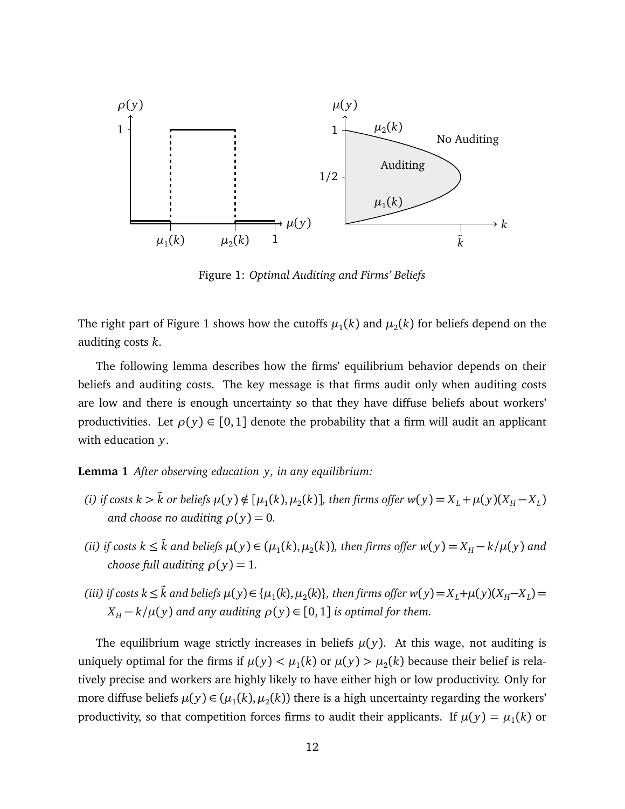

<span id="page-12-0"></span>Figure 1: *Optimal Auditing and Firms' Beliefs*

The right part of Figure [1](#page-12-0) shows how the cutoffs  $\mu_1(k)$  and  $\mu_2(k)$  for beliefs depend on the auditing costs *k*.

The following lemma describes how the firms' equilibrium behavior depends on their beliefs and auditing costs. The key message is that firms audit only when auditing costs are low and there is enough uncertainty so that they have diffuse beliefs about workers' productivities. Let  $\rho(y) \in [0,1]$  denote the probability that a firm will audit an applicant with education *y*.

<span id="page-12-1"></span>**Lemma 1** *After observing education y, in any equilibrium:*

- (i) if costs  $k > \tilde{k}$  or beliefs  $\mu(y) \notin [\mu_1(k), \mu_2(k)]$ , then firms offer  $w(y) = X_L + \mu(y)(X_H X_L)$ *and choose no auditing*  $\rho(y) = 0$ .
- *(ii)* if costs  $k ≤ \tilde{k}$  and beliefs  $\mu(y) ∈ (\mu_1(k), \mu_2(k))$ , then firms offer  $w(y) = X_H k/\mu(y)$  and *choose full auditing*  $\rho(y) = 1$ *.*
- (iii) if costs  $k \leq \tilde{k}$  and beliefs  $\mu(y) \in {\{\mu_1(k), \mu_2(k)\}}$ , then firms offer  $w(y) = X_L + \mu(y)(X_H X_L) =$  $X_H - k/\mu(y)$  *and any auditing*  $\rho(y) \in [0, 1]$  *is optimal for them.*

The equilibrium wage strictly increases in beliefs  $\mu(y)$ . At this wage, not auditing is uniquely optimal for the firms if  $\mu(y) < \mu_1(k)$  or  $\mu(y) > \mu_2(k)$  because their belief is relatively precise and workers are highly likely to have either high or low productivity. Only for more diffuse beliefs  $\mu(y) \in (\mu_1(k), \mu_2(k))$  there is a high uncertainty regarding the workers' productivity, so that competition forces firms to audit their applicants. If  $\mu(y) = \mu_1(k)$  or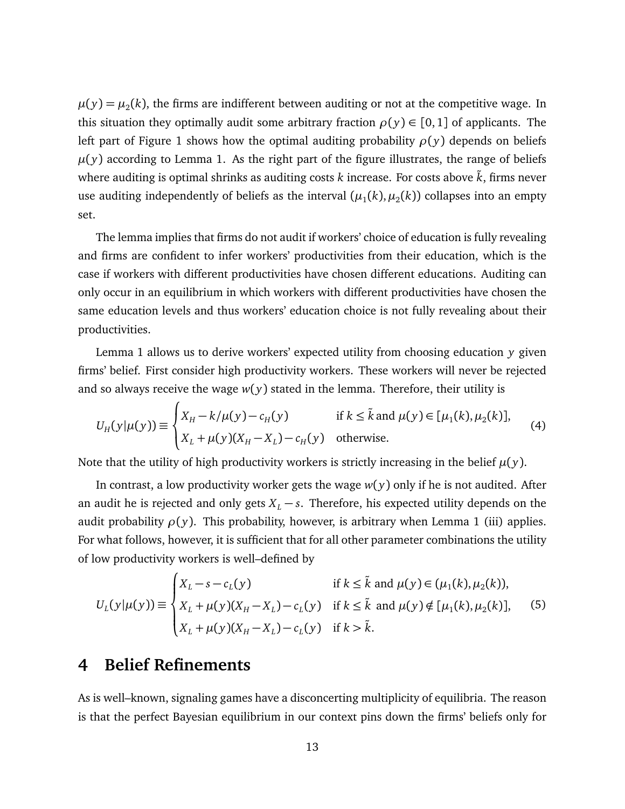$\mu(y) = \mu_2(k)$ , the firms are indifferent between auditing or not at the competitive wage. In this situation they optimally audit some arbitrary fraction  $\rho(y) \in [0,1]$  of applicants. The left part of Figure [1](#page-12-0) shows how the optimal auditing probability  $\rho(y)$  depends on beliefs  $\mu(y)$  according to Lemma [1.](#page-12-1) As the right part of the figure illustrates, the range of beliefs where auditing is optimal shrinks as auditing costs *k* increase. For costs above *k*, firms never use auditing independently of beliefs as the interval  $(\mu_1(k), \mu_2(k))$  collapses into an empty set.

The lemma implies that firms do not audit if workers' choice of education is fully revealing and firms are confident to infer workers' productivities from their education, which is the case if workers with different productivities have chosen different educations. Auditing can only occur in an equilibrium in which workers with different productivities have chosen the same education levels and thus workers' education choice is not fully revealing about their productivities.

Lemma [1](#page-12-1) allows us to derive workers' expected utility from choosing education *y* given firms' belief. First consider high productivity workers. These workers will never be rejected and so always receive the wage  $w(y)$  stated in the lemma. Therefore, their utility is

<span id="page-13-2"></span>
$$
U_H(y|\mu(y)) \equiv \begin{cases} X_H - k/\mu(y) - c_H(y) & \text{if } k \le \tilde{k} \text{ and } \mu(y) \in [\mu_1(k), \mu_2(k)], \\ X_L + \mu(y)(X_H - X_L) - c_H(y) & \text{otherwise.} \end{cases} \tag{4}
$$

Note that the utility of high productivity workers is strictly increasing in the belief  $\mu(y)$ .

In contrast, a low productivity worker gets the wage  $w(y)$  only if he is not audited. After an audit he is rejected and only gets  $X_L - s$ . Therefore, his expected utility depends on the audit probability  $\rho(y)$ . This probability, however, is arbitrary when Lemma [1](#page-12-1) (iii) applies. For what follows, however, it is sufficient that for all other parameter combinations the utility of low productivity workers is well–defined by

<span id="page-13-1"></span>
$$
U_L(y|\mu(y)) \equiv \begin{cases} X_L - s - c_L(y) & \text{if } k \leq \tilde{k} \text{ and } \mu(y) \in (\mu_1(k), \mu_2(k)), \\ X_L + \mu(y)(X_H - X_L) - c_L(y) & \text{if } k \leq \tilde{k} \text{ and } \mu(y) \notin [\mu_1(k), \mu_2(k)], \\ X_L + \mu(y)(X_H - X_L) - c_L(y) & \text{if } k > \tilde{k}. \end{cases}
$$
(5)

### <span id="page-13-0"></span>**4 Belief Refinements**

As is well–known, signaling games have a disconcerting multiplicity of equilibria. The reason is that the perfect Bayesian equilibrium in our context pins down the firms' beliefs only for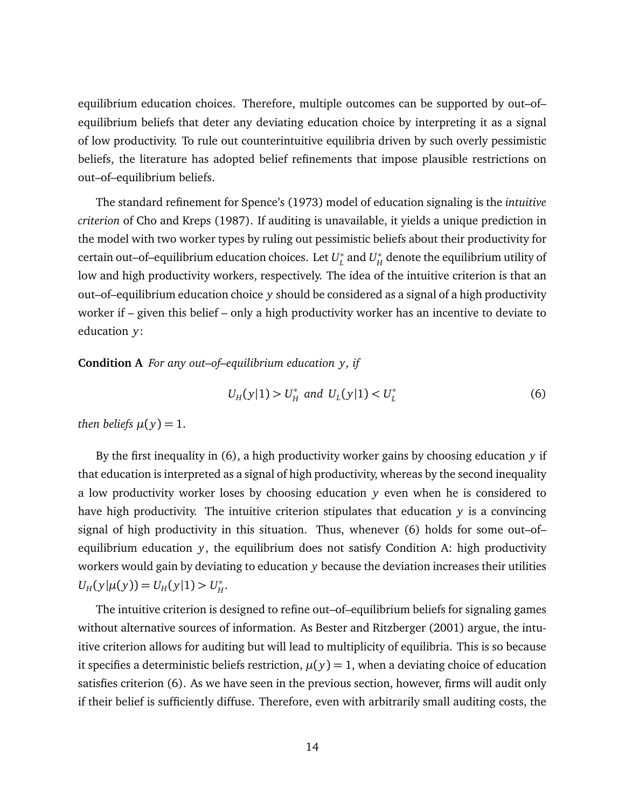equilibrium education choices. Therefore, multiple outcomes can be supported by out–of– equilibrium beliefs that deter any deviating education choice by interpreting it as a signal of low productivity. To rule out counterintuitive equilibria driven by such overly pessimistic beliefs, the literature has adopted belief refinements that impose plausible restrictions on out–of–equilibrium beliefs.

The standard refinement for Spence's (1973) model of education signaling is the *intuitive criterion* of Cho and Kreps (1987). If auditing is unavailable, it yields a unique prediction in the model with two worker types by ruling out pessimistic beliefs about their productivity for certain out–of–equilibrium education choices. Let *U* ∗  $L^*$  and  $U_H^*$  $_{H}^{\ast}$  denote the equilibrium utility of low and high productivity workers, respectively. The idea of the intuitive criterion is that an out–of–equilibrium education choice *y* should be considered as a signal of a high productivity worker if – given this belief – only a high productivity worker has an incentive to deviate to education *y*:

<span id="page-14-1"></span>**Condition A** *For any out–of–equilibrium education y, if*

<span id="page-14-0"></span>
$$
U_H(y|1) > U_H^* \text{ and } U_L(y|1) < U_L^* \tag{6}
$$

*then beliefs*  $\mu(y) = 1$ .

By the first inequality in [\(6\)](#page-14-0), a high productivity worker gains by choosing education *y* if that education is interpreted as a signal of high productivity, whereas by the second inequality a low productivity worker loses by choosing education *y* even when he is considered to have high productivity. The intuitive criterion stipulates that education *y* is a convincing signal of high productivity in this situation. Thus, whenever [\(6\)](#page-14-0) holds for some out–of– equilibrium education *y*, the equilibrium does not satisfy Condition [A:](#page-14-1) high productivity workers would gain by deviating to education *y* because the deviation increases their utilities  $U_H(y|\mu(y)) = U_H(y|1) > U_H^*$ *H* .

The intuitive criterion is designed to refine out–of–equilibrium beliefs for signaling games without alternative sources of information. As Bester and Ritzberger (2001) argue, the intuitive criterion allows for auditing but will lead to multiplicity of equilibria. This is so because it specifies a deterministic beliefs restriction,  $\mu(y) = 1$ , when a deviating choice of education satisfies criterion [\(6\)](#page-14-0). As we have seen in the previous section, however, firms will audit only if their belief is sufficiently diffuse. Therefore, even with arbitrarily small auditing costs, the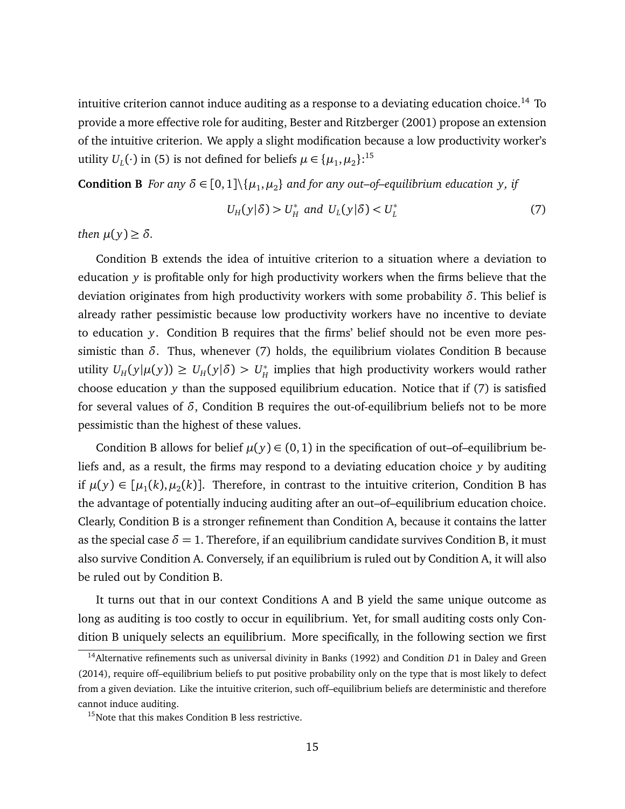intuitive criterion cannot induce auditing as a response to a deviating education choice.<sup>[14](#page-15-0)</sup> To provide a more effective role for auditing, Bester and Ritzberger (2001) propose an extension of the intuitive criterion. We apply a slight modification because a low productivity worker's utility  $U_L(\cdot)$  in [\(5\)](#page-13-1) is not defined for beliefs  $\mu \in {\{\mu_1, \mu_2\}}$ .<sup>[15](#page-15-1)</sup>

<span id="page-15-2"></span>**Condition B** *For any*  $\delta \in [0,1] \setminus \{\mu_1, \mu_2\}$  and for any out–of–equilibrium education y, if

<span id="page-15-3"></span>
$$
U_H(y|\delta) > U_H^* \text{ and } U_L(y|\delta) < U_L^* \tag{7}
$$

*then*  $\mu(y) \geq \delta$ *.* 

Condition [B](#page-15-2) extends the idea of intuitive criterion to a situation where a deviation to education *y* is profitable only for high productivity workers when the firms believe that the deviation originates from high productivity workers with some probability *δ*. This belief is already rather pessimistic because low productivity workers have no incentive to deviate to education *y*. Condition [B](#page-15-2) requires that the firms' belief should not be even more pessimistic than *δ*. Thus, whenever [\(7\)](#page-15-3) holds, the equilibrium violates Condition [B](#page-15-2) because utility  $U_H(y|\mu(y)) \ge U_H(y|\delta) > U_H^*$  $_{H}^{\ast}$  implies that high productivity workers would rather choose education *y* than the supposed equilibrium education. Notice that if [\(7\)](#page-15-3) is satisfied for several values of *δ*, Condition [B](#page-15-2) requires the out-of-equilibrium beliefs not to be more pessimistic than the highest of these values.

Condition [B](#page-15-2) allows for belief  $\mu(y) \in (0,1)$  in the specification of out–of–equilibrium beliefs and, as a result, the firms may respond to a deviating education choice *y* by auditing if  $\mu(y) \in [\mu_1(k), \mu_2(k)]$ . Therefore, in contrast to the intuitive criterion, Condition [B](#page-15-2) has the advantage of potentially inducing auditing after an out–of–equilibrium education choice. Clearly, Condition [B](#page-15-2) is a stronger refinement than Condition [A,](#page-14-1) because it contains the latter as the special case  $\delta = 1$ . Therefore, if an equilibrium candidate survives Condition [B,](#page-15-2) it must also survive Condition [A.](#page-14-1) Conversely, if an equilibrium is ruled out by Condition [A,](#page-14-1) it will also be ruled out by Condition [B.](#page-15-2)

It turns out that in our context Conditions [A](#page-14-1) and [B](#page-15-2) yield the same unique outcome as long as auditing is too costly to occur in equilibrium. Yet, for small auditing costs only Condition [B](#page-15-2) uniquely selects an equilibrium. More specifically, in the following section we first

<span id="page-15-0"></span><sup>14</sup>Alternative refinements such as universal divinity in Banks (1992) and Condition *D*1 in Daley and Green (2014), require off–equilibrium beliefs to put positive probability only on the type that is most likely to defect from a given deviation. Like the intuitive criterion, such off–equilibrium beliefs are deterministic and therefore cannot induce auditing.

<span id="page-15-1"></span><sup>&</sup>lt;sup>15</sup>Note that this makes Condition [B](#page-15-2) less restrictive.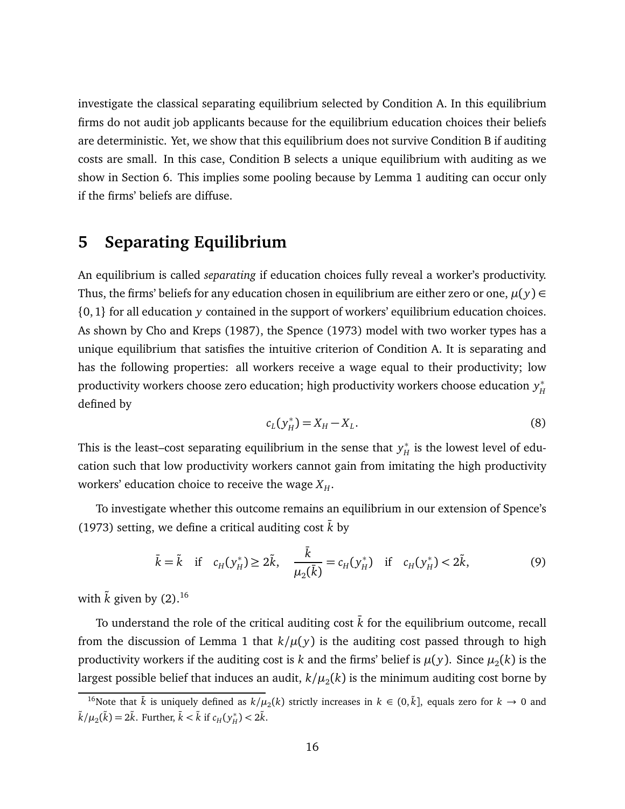investigate the classical separating equilibrium selected by Condition [A.](#page-14-1) In this equilibrium firms do not audit job applicants because for the equilibrium education choices their beliefs are deterministic. Yet, we show that this equilibrium does not survive Condition [B](#page-15-2) if auditing costs are small. In this case, Condition [B](#page-15-2) selects a unique equilibrium with auditing as we show in Section [6.](#page-19-0) This implies some pooling because by Lemma [1](#page-12-1) auditing can occur only if the firms' beliefs are diffuse.

### <span id="page-16-0"></span>**5 Separating Equilibrium**

An equilibrium is called *separating* if education choices fully reveal a worker's productivity. Thus, the firms' beliefs for any education chosen in equilibrium are either zero or one,  $\mu(y) \in$ {0, 1} for all education *y* contained in the support of workers' equilibrium education choices. As shown by Cho and Kreps (1987), the Spence (1973) model with two worker types has a unique equilibrium that satisfies the intuitive criterion of Condition [A.](#page-14-1) It is separating and has the following properties: all workers receive a wage equal to their productivity; low productivity workers choose zero education; high productivity workers choose education *y* ∗ *H* defined by

<span id="page-16-3"></span>
$$
c_L(y_H^*) = X_H - X_L.
$$
\n(8)

This is the least–cost separating equilibrium in the sense that *y* ∗  $_H^*$  is the lowest level of education such that low productivity workers cannot gain from imitating the high productivity workers' education choice to receive the wage  $X_H$ .

To investigate whether this outcome remains an equilibrium in our extension of Spence's (1973) setting, we define a critical auditing cost  $\bar{k}$  by

<span id="page-16-2"></span>
$$
\bar{k} = \tilde{k}
$$
 if  $c_H(y_H^*) \ge 2\tilde{k}$ ,  $\frac{\bar{k}}{\mu_2(\bar{k})} = c_H(y_H^*)$  if  $c_H(y_H^*) < 2\tilde{k}$ , (9)

with  $\tilde{k}$  given by [\(2\)](#page-11-1).<sup>[16](#page-16-1)</sup>

To understand the role of the critical auditing cost  $\bar{k}$  for the equilibrium outcome, recall from the discussion of Lemma [1](#page-12-1) that  $k/\mu(y)$  is the auditing cost passed through to high productivity workers if the auditing cost is  $k$  and the firms' belief is  $\mu(y).$  Since  $\mu_2(k)$  is the largest possible belief that induces an audit,  $k/\mu_2(k)$  is the minimum auditing cost borne by

<span id="page-16-1"></span><sup>&</sup>lt;sup>16</sup>Note that  $\bar{k}$  is uniquely defined as  $k/\mu_2(k)$  strictly increases in  $k \in (0,\tilde{k}]$ , equals zero for  $k \to 0$  and  $\tilde{k}/\mu_2(\tilde{k}) = 2\tilde{k}$ . Further,  $\tilde{k} < \tilde{k}$  if  $c_H(y_H^*)$  $_{H}^{*}$ ) < 2 $\tilde{k}$ .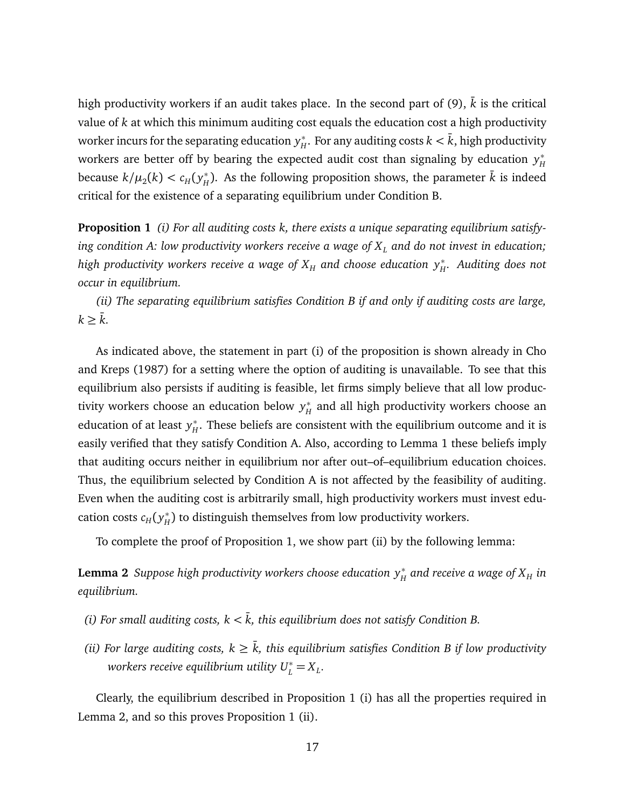high productivity workers if an audit takes place. In the second part of [\(9\)](#page-16-2),  $\bar{k}$  is the critical value of *k* at which this minimum auditing cost equals the education cost a high productivity worker incurs for the separating education *y* ∗  $H^*_H$ . For any auditing costs  $k < \bar{k}$ , high productivity workers are better off by bearing the expected audit cost than signaling by education *y* ∗ *H* because  $k/\mu_2(k) < c_H(y_H^*)$  $_H^*$ ). As the following proposition shows, the parameter  $\bar{k}$  is indeed critical for the existence of a separating equilibrium under Condition [B.](#page-15-2)

<span id="page-17-0"></span>**Proposition 1** *(i) For all auditing costs k, there exists a unique separating equilibrium satisfying condition [A:](#page-14-1) low productivity workers receive a wage of X<sup>L</sup> and do not invest in education; high productivity workers receive a wage of*  $X_H$  *and choose education*  $y_H^*$ *. Auditing does not occur in equilibrium.*

*(ii) The separating equilibrium satisfies Condition [B](#page-15-2) if and only if auditing costs are large,*  $k \geq \overline{k}$ .

As indicated above, the statement in part (i) of the proposition is shown already in Cho and Kreps (1987) for a setting where the option of auditing is unavailable. To see that this equilibrium also persists if auditing is feasible, let firms simply believe that all low productivity workers choose an education below *y* ∗  $_{H}^{\ast}$  and all high productivity workers choose an education of at least *y* ∗  $_{H}^{*}.$  These beliefs are consistent with the equilibrium outcome and it is easily verified that they satisfy Condition [A.](#page-14-1) Also, according to Lemma [1](#page-12-1) these beliefs imply that auditing occurs neither in equilibrium nor after out–of–equilibrium education choices. Thus, the equilibrium selected by Condition [A](#page-14-1) is not affected by the feasibility of auditing. Even when the auditing cost is arbitrarily small, high productivity workers must invest education costs *c<sup>H</sup>* ( *y* ∗  $_H^*$ ) to distinguish themselves from low productivity workers.

To complete the proof of Proposition [1,](#page-17-0) we show part (ii) by the following lemma:

<span id="page-17-1"></span>Lemma 2 Suppose high productivity workers choose education  $y_H^*$  and receive a wage of  $X_H$  in *equilibrium.*

- *(i) For small auditing costs,*  $k < \bar{k}$ *, this equilibrium does not satisfy Condition [B.](#page-15-2)*
- *(ii) For large auditing costs,*  $k \geq \overline{k}$ *, this equilibrium satisfies Condition [B](#page-15-2) if low productivity workers receive equilibrium utility*  $U_L^* = X_L$ .

Clearly, the equilibrium described in Proposition [1](#page-17-0) (i) has all the properties required in Lemma [2,](#page-17-1) and so this proves Proposition [1](#page-17-0) (ii).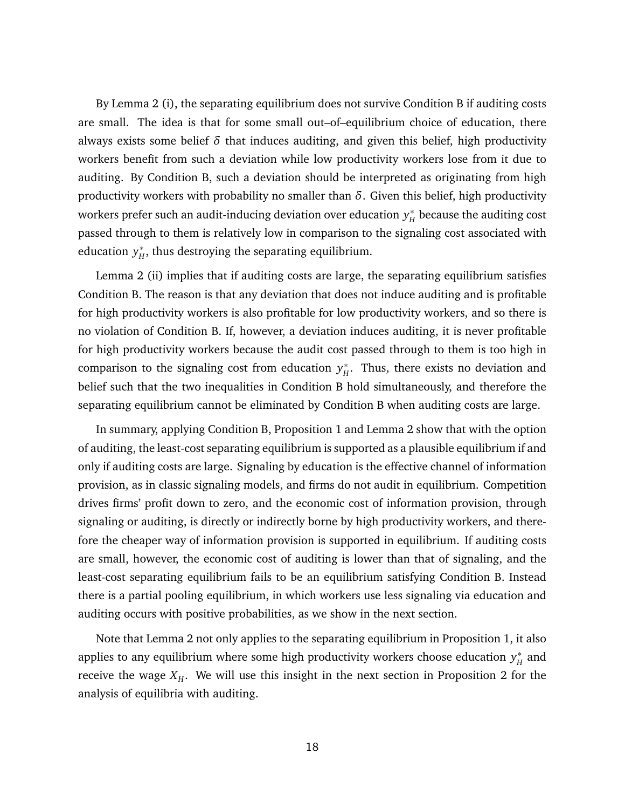By Lemma [2](#page-17-1) (i), the separating equilibrium does not survive Condition [B](#page-15-2) if auditing costs are small. The idea is that for some small out–of–equilibrium choice of education, there always exists some belief  $\delta$  that induces auditing, and given this belief, high productivity workers benefit from such a deviation while low productivity workers lose from it due to auditing. By Condition [B,](#page-15-2) such a deviation should be interpreted as originating from high productivity workers with probability no smaller than *δ*. Given this belief, high productivity workers prefer such an audit-inducing deviation over education *y* ∗  $_H^\ast$  because the auditing cost passed through to them is relatively low in comparison to the signaling cost associated with education *y* ∗  $_{H}^{*}$ , thus destroying the separating equilibrium.

Lemma [2](#page-17-1) (ii) implies that if auditing costs are large, the separating equilibrium satisfies Condition [B.](#page-15-2) The reason is that any deviation that does not induce auditing and is profitable for high productivity workers is also profitable for low productivity workers, and so there is no violation of Condition [B.](#page-15-2) If, however, a deviation induces auditing, it is never profitable for high productivity workers because the audit cost passed through to them is too high in comparison to the signaling cost from education *y* ∗  $_{H}^{*}$ . Thus, there exists no deviation and belief such that the two inequalities in Condition [B](#page-15-2) hold simultaneously, and therefore the separating equilibrium cannot be eliminated by Condition [B](#page-15-2) when auditing costs are large.

In summary, applying Condition [B,](#page-15-2) Proposition [1](#page-17-0) and Lemma [2](#page-17-1) show that with the option of auditing, the least-cost separating equilibrium is supported as a plausible equilibrium if and only if auditing costs are large. Signaling by education is the effective channel of information provision, as in classic signaling models, and firms do not audit in equilibrium. Competition drives firms' profit down to zero, and the economic cost of information provision, through signaling or auditing, is directly or indirectly borne by high productivity workers, and therefore the cheaper way of information provision is supported in equilibrium. If auditing costs are small, however, the economic cost of auditing is lower than that of signaling, and the least-cost separating equilibrium fails to be an equilibrium satisfying Condition [B.](#page-15-2) Instead there is a partial pooling equilibrium, in which workers use less signaling via education and auditing occurs with positive probabilities, as we show in the next section.

Note that Lemma [2](#page-17-1) not only applies to the separating equilibrium in Proposition [1,](#page-17-0) it also applies to any equilibrium where some high productivity workers choose education *y* ∗  $_H^*$  and receive the wage  $X_H$ . We will use this insight in the next section in Proposition [2](#page-20-0) for the analysis of equilibria with auditing.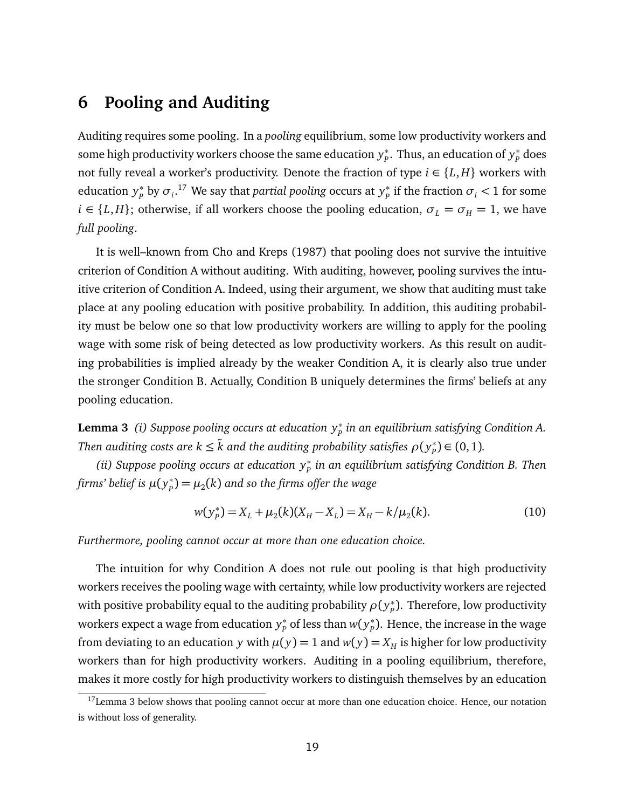# <span id="page-19-0"></span>**6 Pooling and Auditing**

Auditing requires some pooling. In a *pooling* equilibrium, some low productivity workers and some high productivity workers choose the same education *y* ∗ *P* . Thus, an education of *y* ∗ *P* does not fully reveal a worker's productivity. Denote the fraction of type  $i \in \{L, H\}$  workers with education *y* ∗  $p^*_{p}$  by  $\sigma_i$ .<sup>[17](#page-19-1)</sup> We say that *partial pooling* occurs at  $y^*_p$  $_{p}^{*}$  if the fraction  $\sigma_{i}$  < 1 for some  $i \in \{L, H\}$ ; otherwise, if all workers choose the pooling education,  $\sigma_L = \sigma_H = 1$ , we have *full pooling*.

It is well–known from Cho and Kreps (1987) that pooling does not survive the intuitive criterion of Condition [A](#page-14-1) without auditing. With auditing, however, pooling survives the intuitive criterion of Condition [A.](#page-14-1) Indeed, using their argument, we show that auditing must take place at any pooling education with positive probability. In addition, this auditing probability must be below one so that low productivity workers are willing to apply for the pooling wage with some risk of being detected as low productivity workers. As this result on auditing probabilities is implied already by the weaker Condition [A,](#page-14-1) it is clearly also true under the stronger Condition [B.](#page-15-2) Actually, Condition [B](#page-15-2) uniquely determines the firms' beliefs at any pooling education.

<span id="page-19-2"></span>**Lemma 3** *(i) Suppose pooling occurs at education y*<sup>∗</sup> *P in an equilibrium satisfying Condition [A.](#page-14-1) Then auditing costs are*  $k \leq \tilde{k}$  *and the auditing probability satisfies*  $\rho(\bm y_p^*)$  $_{p}^{*}$ )  $\in (0,1)$ .

*(ii) Suppose pooling occurs at education y*<sup>∗</sup> *P in an equilibrium satisfying Condition [B.](#page-15-2) Then firms' belief is µ*( *y* ∗  $\mathcal{P}_p^*$ ) =  $\mu_2(k)$  and so the firms offer the wage

<span id="page-19-3"></span>
$$
w(y_P^*) = X_L + \mu_2(k)(X_H - X_L) = X_H - k/\mu_2(k). \tag{10}
$$

*Furthermore, pooling cannot occur at more than one education choice.*

The intuition for why Condition [A](#page-14-1) does not rule out pooling is that high productivity workers receives the pooling wage with certainty, while low productivity workers are rejected with positive probability equal to the auditing probability  $\rho(y^*_p)$ *P* ). Therefore, low productivity workers expect a wage from education *y* ∗  $p^*$  of less than  $w(y_p^*)$  $_{p}^{\ast}$ ). Hence, the increase in the wage from deviating to an education *y* with  $\mu(y) = 1$  and  $w(y) = X_H$  is higher for low productivity workers than for high productivity workers. Auditing in a pooling equilibrium, therefore, makes it more costly for high productivity workers to distinguish themselves by an education

<span id="page-19-1"></span><sup>&</sup>lt;sup>17</sup>Lemma [3](#page-19-2) below shows that pooling cannot occur at more than one education choice. Hence, our notation is without loss of generality.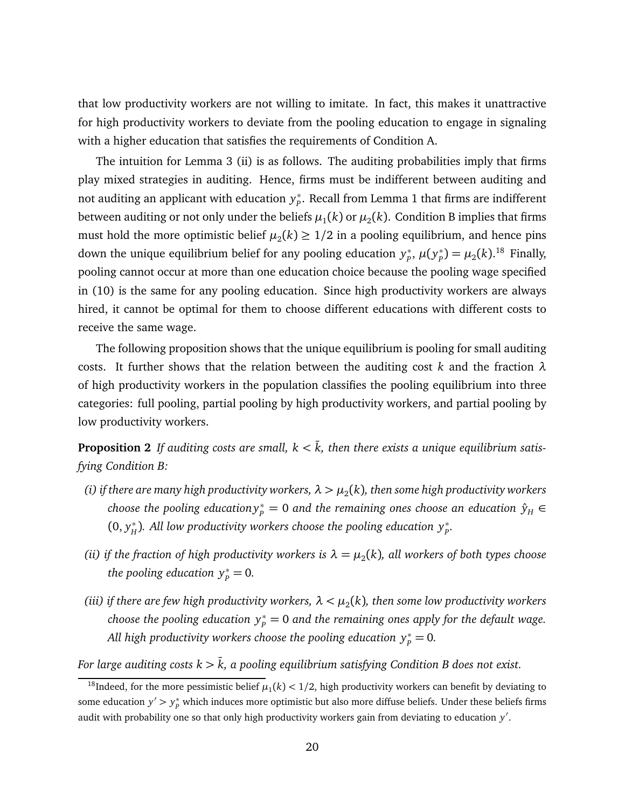that low productivity workers are not willing to imitate. In fact, this makes it unattractive for high productivity workers to deviate from the pooling education to engage in signaling with a higher education that satisfies the requirements of Condition [A.](#page-14-1)

The intuition for Lemma [3](#page-19-2) (ii) is as follows. The auditing probabilities imply that firms play mixed strategies in auditing. Hence, firms must be indifferent between auditing and not auditing an applicant with education *y* ∗ *P* . Recall from Lemma [1](#page-12-1) that firms are indifferent between auditing or not only under the beliefs  $\mu_1(k)$  or  $\mu_2(k)$ . Condition [B](#page-15-2) implies that firms must hold the more optimistic belief  $\mu_2(k) \geq 1/2$  in a pooling equilibrium, and hence pins down the unique equilibrium belief for any pooling education *y* ∗ *P* , *µ*( *y* ∗  $p_{p}^{*}$ ) =  $\mu_{2}(k)$ .<sup>[18](#page-20-1)</sup> Finally, pooling cannot occur at more than one education choice because the pooling wage specified in [\(10\)](#page-19-3) is the same for any pooling education. Since high productivity workers are always hired, it cannot be optimal for them to choose different educations with different costs to receive the same wage.

The following proposition shows that the unique equilibrium is pooling for small auditing costs. It further shows that the relation between the auditing cost *k* and the fraction *λ* of high productivity workers in the population classifies the pooling equilibrium into three categories: full pooling, partial pooling by high productivity workers, and partial pooling by low productivity workers.

<span id="page-20-0"></span>**Proposition 2** If auditing costs are small,  $k < \overline{k}$ , then there exists a unique equilibrium satis*fying Condition [B:](#page-15-2)*

- (i) if there are many high productivity workers,  $\lambda > \mu_2(k)$ , then some high productivity workers  $R$  *choose the pooling education* $y^*_p = 0$  *and the remaining ones choose an education*  $\hat{y}_H \in \mathbb{R}$  $(0, y_H^*$  $H$ <sup>∗</sup>). All low productivity workers choose the pooling education  $y_P^*$ .
- *(ii) if the fraction of high productivity workers is*  $\lambda = \mu_2(k)$ , all workers of both types choose *the pooling education*  $y_p^* = 0$ .
- (iii) if there are few high productivity workers,  $\lambda < \mu_2(k)$ , then some low productivity workers *choose the pooling education*  $y^*_p = 0$  *and the remaining ones apply for the default wage. All high productivity workers choose the pooling education*  $y_p^* = 0$ *.*

*For large auditing costs*  $k > \overline{k}$ *, a pooling equilibrium satisfying Condition [B](#page-15-2) does not exist.* 

<span id="page-20-1"></span><sup>&</sup>lt;sup>18</sup>Indeed, for the more pessimistic belief  $\mu_1(k)$  < 1/2, high productivity workers can benefit by deviating to some education  $y' > y_p^*$  which induces more optimistic but also more diffuse beliefs. Under these beliefs firms audit with probability one so that only high productivity workers gain from deviating to education y'.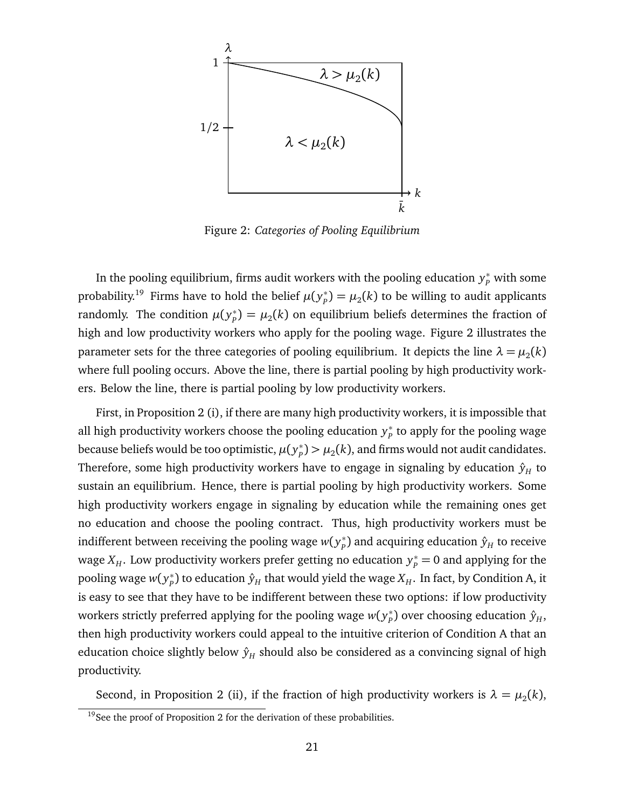

<span id="page-21-1"></span>Figure 2: *Categories of Pooling Equilibrium*

In the pooling equilibrium, firms audit workers with the pooling education  $y_p^*$  with some probability.<sup>[19](#page-21-0)</sup> Firms have to hold the belief  $\mu(y^*_p)$  $\mathcal{P}_p^*$ ) =  $\mu_2(k)$  to be willing to audit applicants randomly. The condition  $\mu(y^*_p)$  $\mathcal{P}_p^*$ ) =  $\mu_2(k)$  on equilibrium beliefs determines the fraction of high and low productivity workers who apply for the pooling wage. Figure [2](#page-21-1) illustrates the parameter sets for the three categories of pooling equilibrium. It depicts the line  $\lambda = \mu_2(k)$ where full pooling occurs. Above the line, there is partial pooling by high productivity workers. Below the line, there is partial pooling by low productivity workers.

First, in Proposition [2](#page-20-0) (i), if there are many high productivity workers, it is impossible that all high productivity workers choose the pooling education *y* ∗  $_{p}^{\ast}$  to apply for the pooling wage because beliefs would be too optimistic,  $\mu(y^*_p)$  $\mu_p^*$ )  $> \mu_2(k)$ , and firms would not audit candidates. Therefore, some high productivity workers have to engage in signaling by education  $\hat{y}_H$  to sustain an equilibrium. Hence, there is partial pooling by high productivity workers. Some high productivity workers engage in signaling by education while the remaining ones get no education and choose the pooling contract. Thus, high productivity workers must be indifferent between receiving the pooling wage  $w(y^*_p)$  $_{p}^{\ast})$  and acquiring education  $\hat{y}_H^{\phantom{\dag}}$  to receive wage  $X_H$ . Low productivity workers prefer getting no education  $y_P^* = 0$  and applying for the pooling wage *w*( *y* ∗  $_{P}^{*}$ ) to education  $\hat{y}_{H}$  that would yield the wage  $X_{H}.$  In fact, by Condition [A,](#page-14-1) it is easy to see that they have to be indifferent between these two options: if low productivity workers strictly preferred applying for the pooling wage  $w(y^*_p)$  $p^*_{P}$ ) over choosing education  $\hat{y}_{H}$ , then high productivity workers could appeal to the intuitive criterion of Condition [A](#page-14-1) that an education choice slightly below  $\hat{y}_H$  should also be considered as a convincing signal of high productivity.

Second, in Proposition [2](#page-20-0) (ii), if the fraction of high productivity workers is  $\lambda = \mu_2(k)$ ,

<span id="page-21-0"></span> $19$ See the proof of Proposition [2](#page-20-0) for the derivation of these probabilities.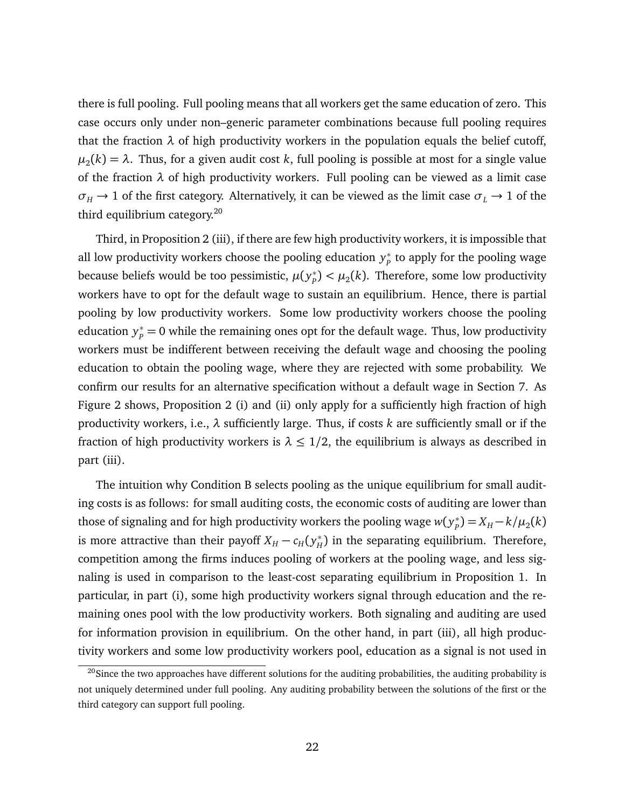there is full pooling. Full pooling means that all workers get the same education of zero. This case occurs only under non–generic parameter combinations because full pooling requires that the fraction  $\lambda$  of high productivity workers in the population equals the belief cutoff,  $\mu_2(k)=\lambda.$  Thus, for a given audit cost  $k$ , full pooling is possible at most for a single value of the fraction  $\lambda$  of high productivity workers. Full pooling can be viewed as a limit case  $\sigma_H \rightarrow 1$  of the first category. Alternatively, it can be viewed as the limit case  $\sigma_L \rightarrow 1$  of the third equilibrium category. $20$ 

Third, in Proposition [2](#page-20-0) (iii), if there are few high productivity workers, it is impossible that all low productivity workers choose the pooling education *y* ∗  $_{P}^{\ast}$  to apply for the pooling wage because beliefs would be too pessimistic, *µ*( *y* ∗  $P^*_P$ )  $< \mu_2(k)$ . Therefore, some low productivity workers have to opt for the default wage to sustain an equilibrium. Hence, there is partial pooling by low productivity workers. Some low productivity workers choose the pooling education  $y_p^* = 0$  while the remaining ones opt for the default wage. Thus, low productivity workers must be indifferent between receiving the default wage and choosing the pooling education to obtain the pooling wage, where they are rejected with some probability. We confirm our results for an alternative specification without a default wage in Section [7.](#page-25-0) As Figure [2](#page-21-1) shows, Proposition [2](#page-20-0) (i) and (ii) only apply for a sufficiently high fraction of high productivity workers, i.e., *λ* sufficiently large. Thus, if costs *k* are sufficiently small or if the fraction of high productivity workers is  $\lambda \leq 1/2$ , the equilibrium is always as described in part (iii).

The intuition why Condition [B](#page-15-2) selects pooling as the unique equilibrium for small auditing costs is as follows: for small auditing costs, the economic costs of auditing are lower than those of signaling and for high productivity workers the pooling wage  $w(y^*_P)$  $P_p^*$ ) =  $X_H - k/\mu_2(k)$ is more attractive than their payoff  $X_H - c_H(y_H^*)$  $_{H}^{\ast}$ ) in the separating equilibrium. Therefore, competition among the firms induces pooling of workers at the pooling wage, and less signaling is used in comparison to the least-cost separating equilibrium in Proposition [1.](#page-17-0) In particular, in part (i), some high productivity workers signal through education and the remaining ones pool with the low productivity workers. Both signaling and auditing are used for information provision in equilibrium. On the other hand, in part (iii), all high productivity workers and some low productivity workers pool, education as a signal is not used in

<span id="page-22-0"></span><sup>&</sup>lt;sup>20</sup>Since the two approaches have different solutions for the auditing probabilities, the auditing probability is not uniquely determined under full pooling. Any auditing probability between the solutions of the first or the third category can support full pooling.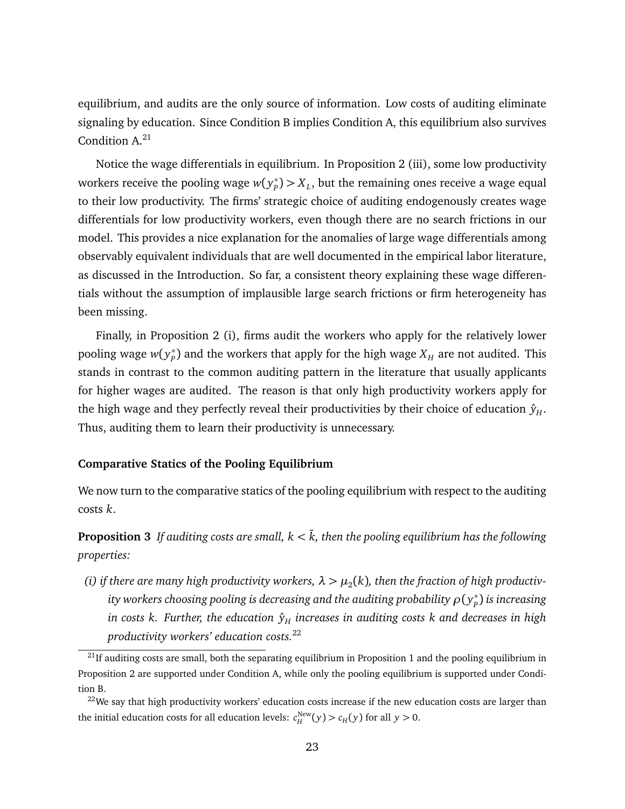equilibrium, and audits are the only source of information. Low costs of auditing eliminate signaling by education. Since Condition [B](#page-15-2) implies Condition [A,](#page-14-1) this equilibrium also survives Condition  $A^{21}$  $A^{21}$  $A^{21}$ 

Notice the wage differentials in equilibrium. In Proposition [2](#page-20-0) (iii), some low productivity workers receive the pooling wage *w*( *y* ∗  $P_P^*$ )  $> X_L$ , but the remaining ones receive a wage equal to their low productivity. The firms' strategic choice of auditing endogenously creates wage differentials for low productivity workers, even though there are no search frictions in our model. This provides a nice explanation for the anomalies of large wage differentials among observably equivalent individuals that are well documented in the empirical labor literature, as discussed in the Introduction. So far, a consistent theory explaining these wage differentials without the assumption of implausible large search frictions or firm heterogeneity has been missing.

Finally, in Proposition 2 (i), firms audit the workers who apply for the relatively lower pooling wage *w*( *y* ∗  $_{P}^{*}$ ) and the workers that apply for the high wage  $X_{H}$  are not audited. This stands in contrast to the common auditing pattern in the literature that usually applicants for higher wages are audited. The reason is that only high productivity workers apply for the high wage and they perfectly reveal their productivities by their choice of education  $\hat{y}_H$ . Thus, auditing them to learn their productivity is unnecessary.

#### **Comparative Statics of the Pooling Equilibrium**

We now turn to the comparative statics of the pooling equilibrium with respect to the auditing costs *k*.

<span id="page-23-2"></span>**Proposition 3** *If auditing costs are small,*  $k < \bar{k}$ *, then the pooling equilibrium has the following properties:*

(*i*) if there are many high productivity workers,  $\lambda > \mu_2(k)$ , then the fraction of high productivity workers choosing pooling is decreasing and the auditing probability  $\rho(y^*_p)$ *P* ) *is increasing in costs k. Further, the education* ˆ*y<sup>H</sup> increases in auditing costs k and decreases in high productivity workers' education costs.*[22](#page-23-1)

<span id="page-23-0"></span> $^{21}$ If auditing costs are small, both the separating equilibrium in Proposition [1](#page-17-0) and the pooling equilibrium in Proposition [2](#page-20-0) are supported under Condition [A,](#page-14-1) while only the pooling equilibrium is supported under Condition [B.](#page-15-2)

<span id="page-23-1"></span><sup>&</sup>lt;sup>22</sup>We say that high productivity workers' education costs increase if the new education costs are larger than the initial education costs for all education levels:  $c_H^{\text{New}}(y) > c_H(y)$  for all  $y > 0$ .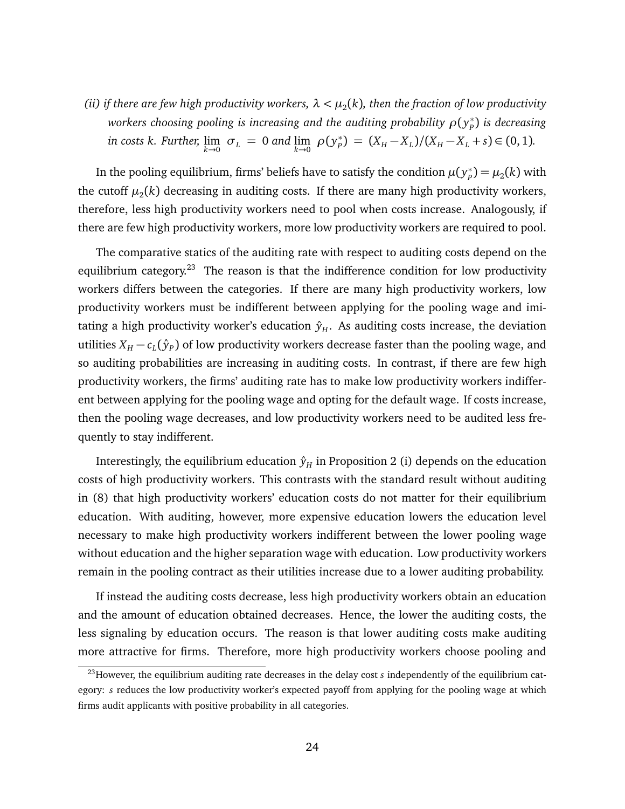(*ii*) if there are few high productivity workers,  $\lambda < \mu_2(k)$ , then the fraction of low productivity workers choosing pooling is increasing and the auditing probability  $\rho(y^*_p)$ *P* ) *is decreasing in costs k. Further,*  $\lim_{k\to 0} \sigma_L = 0$  *and*  $\lim_{k\to 0} \rho(y_p^*)$  $P_P^*$  =  $(X_H - X_L)/(X_H - X_L + s) \in (0, 1)$ .

In the pooling equilibrium, firms' beliefs have to satisfy the condition  $\mu(y^*_p)$  $\mu_p^*$ )  $= \mu_2(k)$  with the cutoff  $\mu_2(k)$  decreasing in auditing costs. If there are many high productivity workers, therefore, less high productivity workers need to pool when costs increase. Analogously, if there are few high productivity workers, more low productivity workers are required to pool.

The comparative statics of the auditing rate with respect to auditing costs depend on the equilibrium category.<sup>[23](#page-24-0)</sup> The reason is that the indifference condition for low productivity workers differs between the categories. If there are many high productivity workers, low productivity workers must be indifferent between applying for the pooling wage and imitating a high productivity worker's education  $\hat{y}_H$ . As auditing costs increase, the deviation utilities  $X_H - c_L(\hat{y}_P)$  of low productivity workers decrease faster than the pooling wage, and so auditing probabilities are increasing in auditing costs. In contrast, if there are few high productivity workers, the firms' auditing rate has to make low productivity workers indifferent between applying for the pooling wage and opting for the default wage. If costs increase, then the pooling wage decreases, and low productivity workers need to be audited less frequently to stay indifferent.

Interestingly, the equilibrium education  $\hat{y}_H$  in Proposition [2](#page-20-0) (i) depends on the education costs of high productivity workers. This contrasts with the standard result without auditing in [\(8\)](#page-16-3) that high productivity workers' education costs do not matter for their equilibrium education. With auditing, however, more expensive education lowers the education level necessary to make high productivity workers indifferent between the lower pooling wage without education and the higher separation wage with education. Low productivity workers remain in the pooling contract as their utilities increase due to a lower auditing probability.

If instead the auditing costs decrease, less high productivity workers obtain an education and the amount of education obtained decreases. Hence, the lower the auditing costs, the less signaling by education occurs. The reason is that lower auditing costs make auditing more attractive for firms. Therefore, more high productivity workers choose pooling and

<span id="page-24-0"></span><sup>&</sup>lt;sup>23</sup>However, the equilibrium auditing rate decreases in the delay cost *s* independently of the equilibrium category: *s* reduces the low productivity worker's expected payoff from applying for the pooling wage at which firms audit applicants with positive probability in all categories.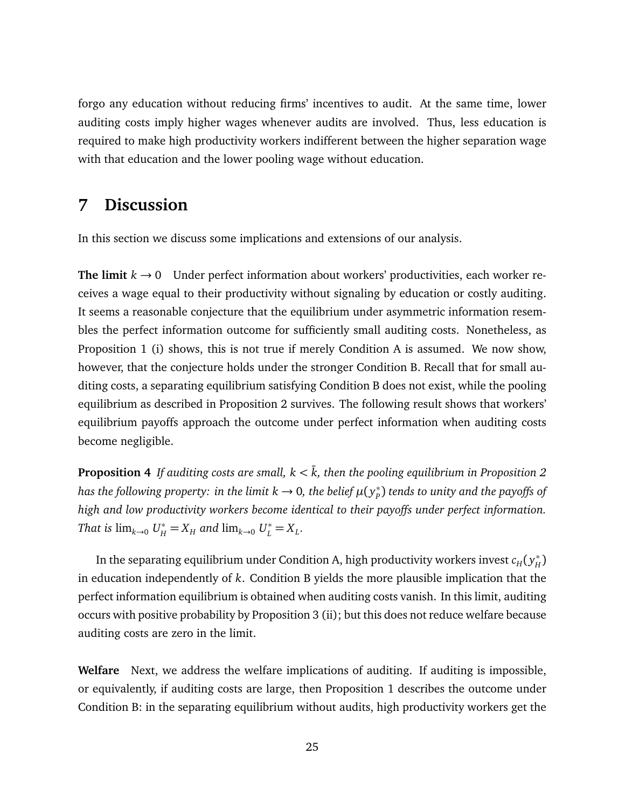forgo any education without reducing firms' incentives to audit. At the same time, lower auditing costs imply higher wages whenever audits are involved. Thus, less education is required to make high productivity workers indifferent between the higher separation wage with that education and the lower pooling wage without education.

# <span id="page-25-0"></span>**7 Discussion**

In this section we discuss some implications and extensions of our analysis.

**The limit**  $k \rightarrow 0$  Under perfect information about workers' productivities, each worker receives a wage equal to their productivity without signaling by education or costly auditing. It seems a reasonable conjecture that the equilibrium under asymmetric information resembles the perfect information outcome for sufficiently small auditing costs. Nonetheless, as Proposition [1](#page-17-0) (i) shows, this is not true if merely Condition [A](#page-14-1) is assumed. We now show, however, that the conjecture holds under the stronger Condition [B.](#page-15-2) Recall that for small auditing costs, a separating equilibrium satisfying Condition [B](#page-15-2) does not exist, while the pooling equilibrium as described in Proposition [2](#page-20-0) survives. The following result shows that workers' equilibrium payoffs approach the outcome under perfect information when auditing costs become negligible.

<span id="page-25-1"></span>**Proposition 4** *If auditing costs are small,*  $k < \overline{k}$ *, then the pooling equilibrium in Proposition [2](#page-20-0) has the following property: in the limit k*  $\rightarrow$  *0, the belief*  $\mu(y^*_p)$ *P* ) *tends to unity and the payoffs of high and low productivity workers become identical to their payoffs under perfect information. That is*  $\lim_{k \to 0} U^*_{H} = X_{H}$  *and*  $\lim_{k \to 0} U^*_{L} = X_{L}$ *.* 

In the separating equilibrium under Condition [A,](#page-14-1) high productivity workers invest  $c_H(\mathbf y_H^*)$ *H* ) in education independently of *k*. Condition [B](#page-15-2) yields the more plausible implication that the perfect information equilibrium is obtained when auditing costs vanish. In this limit, auditing occurs with positive probability by Proposition [3](#page-23-2) (ii); but this does not reduce welfare because auditing costs are zero in the limit.

**Welfare** Next, we address the welfare implications of auditing. If auditing is impossible, or equivalently, if auditing costs are large, then Proposition [1](#page-17-0) describes the outcome under Condition [B:](#page-15-2) in the separating equilibrium without audits, high productivity workers get the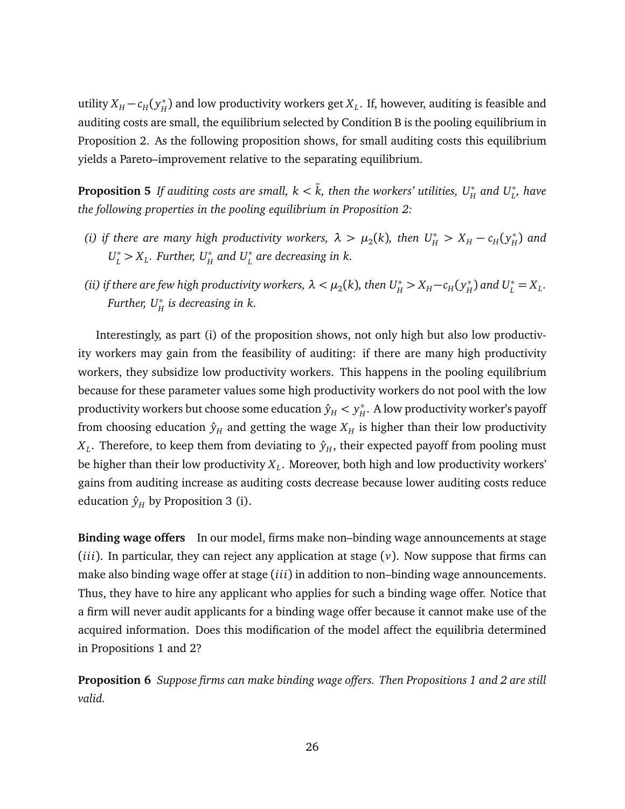utility  $X_H - c_H (y_H^*)$  $_H^*$ ) and low productivity workers get  $X_L$ . If, however, auditing is feasible and auditing costs are small, the equilibrium selected by Condition [B](#page-15-2) is the pooling equilibrium in Proposition [2.](#page-20-0) As the following proposition shows, for small auditing costs this equilibrium yields a Pareto–improvement relative to the separating equilibrium.

<span id="page-26-1"></span>**Proposition 5** *If auditing costs are small, k* <  $\bar{k}$ , *then the workers' utilities,*  $U^*_H$  *and*  $U^*_L$ *, have the following properties in the pooling equilibrium in Proposition [2:](#page-20-0)*

- *(i)* if there are many high productivity workers,  $\lambda > \mu_2(k)$ , then  $U_H^* > X_H c_H(y_H^*)$ *H* ) *and*  $U_L^* > X_L$ *. Further,*  $U_H^*$  and  $U_L^*$  are decreasing in k.
- *(ii)* if there are few high productivity workers,  $\lambda < \mu_2(k)$ , then  $U^*_H > X_H c_H(y^*_H)$  $H^*$ ) and  $U^*_L = X_L$ . *Further, U*<sup>∗</sup> *H is decreasing in k.*

Interestingly, as part (i) of the proposition shows, not only high but also low productivity workers may gain from the feasibility of auditing: if there are many high productivity workers, they subsidize low productivity workers. This happens in the pooling equilibrium because for these parameter values some high productivity workers do not pool with the low productivity workers but choose some education  $\hat{y}_H < y_H^*$  $_H^*$ . A low productivity worker's payoff from choosing education  $\hat{y}_H$  and getting the wage  $X_H$  is higher than their low productivity  $X_L$ . Therefore, to keep them from deviating to  $\hat{y}_H$ , their expected payoff from pooling must be higher than their low productivity *X<sup>L</sup>* . Moreover, both high and low productivity workers' gains from auditing increase as auditing costs decrease because lower auditing costs reduce education  $\hat{y}_H$  by Proposition [3](#page-23-2) (i).

**Binding wage offers** In our model, firms make non–binding wage announcements at stage (*iii*). In particular, they can reject any application at stage  $(v)$ . Now suppose that firms can make also binding wage offer at stage (*iii*) in addition to non–binding wage announcements. Thus, they have to hire any applicant who applies for such a binding wage offer. Notice that a firm will never audit applicants for a binding wage offer because it cannot make use of the acquired information. Does this modification of the model affect the equilibria determined in Propositions [1](#page-17-0) and [2?](#page-20-0)

<span id="page-26-0"></span>**Proposition 6** *Suppose firms can make binding wage offers. Then Propositions [1](#page-17-0) and [2](#page-20-0) are still valid.*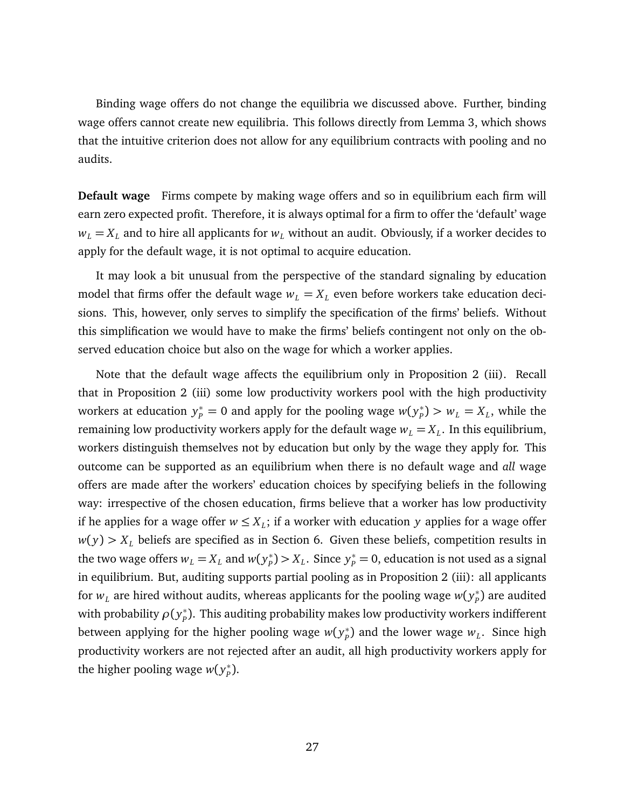Binding wage offers do not change the equilibria we discussed above. Further, binding wage offers cannot create new equilibria. This follows directly from Lemma [3,](#page-19-2) which shows that the intuitive criterion does not allow for any equilibrium contracts with pooling and no audits.

**Default wage** Firms compete by making wage offers and so in equilibrium each firm will earn zero expected profit. Therefore, it is always optimal for a firm to offer the 'default' wage  $w_L = X_L$  and to hire all applicants for  $w_L$  without an audit. Obviously, if a worker decides to apply for the default wage, it is not optimal to acquire education.

It may look a bit unusual from the perspective of the standard signaling by education model that firms offer the default wage  $w_L = X_L$  even before workers take education decisions. This, however, only serves to simplify the specification of the firms' beliefs. Without this simplification we would have to make the firms' beliefs contingent not only on the observed education choice but also on the wage for which a worker applies.

Note that the default wage affects the equilibrium only in Proposition [2](#page-20-0) (iii). Recall that in Proposition [2](#page-20-0) (iii) some low productivity workers pool with the high productivity workers at education  $y_p^* = 0$  and apply for the pooling wage  $w(y_p^*)$  $p_{\mu}^*$ ) >  $w_L = X_L$ , while the remaining low productivity workers apply for the default wage  $w_L = X_L$ . In this equilibrium, workers distinguish themselves not by education but only by the wage they apply for. This outcome can be supported as an equilibrium when there is no default wage and *all* wage offers are made after the workers' education choices by specifying beliefs in the following way: irrespective of the chosen education, firms believe that a worker has low productivity if he applies for a wage offer  $w \leq X_L$ ; if a worker with education y applies for a wage offer  $w(y) > X_L$  beliefs are specified as in Section [6.](#page-19-0) Given these beliefs, competition results in the two wage offers  $w_L = X_L$  and  $w(y_p^*)$  $p^*$   $>$  *X*<sub>*L*</sub>. Since  $y^*_{p}$  = 0, education is not used as a signal in equilibrium. But, auditing supports partial pooling as in Proposition [2](#page-20-0) (iii): all applicants for  $w_{L}$  are hired without audits, whereas applicants for the pooling wage  $w(y_{P}^{\ast}% ,\omega)$  $_{p}^{\ast})$  are audited with probability  $ρ(y<sub>p</sub><sup>*</sup>)$ *P* ). This auditing probability makes low productivity workers indifferent between applying for the higher pooling wage  $w(y^*_p)$  $_{p}^{*}$ ) and the lower wage  $w_{L}$ . Since high productivity workers are not rejected after an audit, all high productivity workers apply for the higher pooling wage *w*( $y_p^*$ *P* ).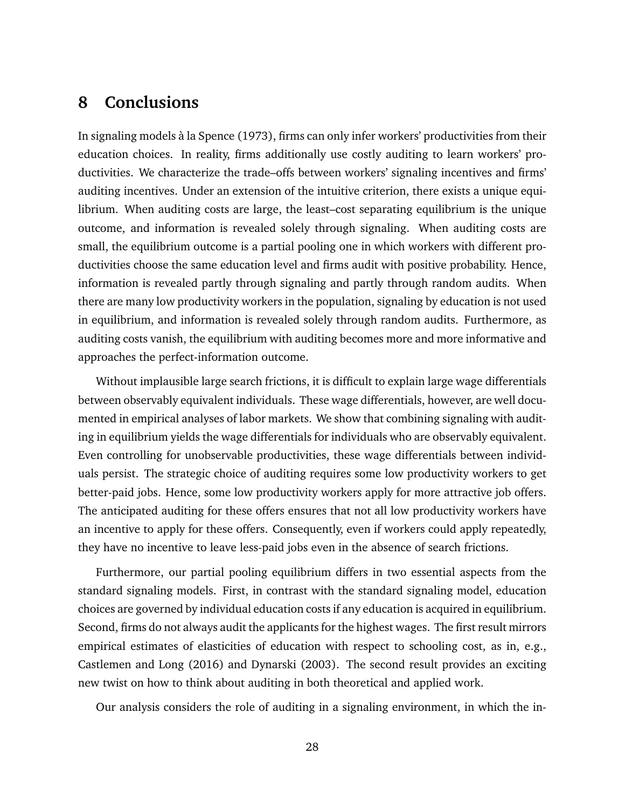## <span id="page-28-0"></span>**8 Conclusions**

In signaling models à la Spence (1973), firms can only infer workers' productivities from their education choices. In reality, firms additionally use costly auditing to learn workers' productivities. We characterize the trade–offs between workers' signaling incentives and firms' auditing incentives. Under an extension of the intuitive criterion, there exists a unique equilibrium. When auditing costs are large, the least–cost separating equilibrium is the unique outcome, and information is revealed solely through signaling. When auditing costs are small, the equilibrium outcome is a partial pooling one in which workers with different productivities choose the same education level and firms audit with positive probability. Hence, information is revealed partly through signaling and partly through random audits. When there are many low productivity workers in the population, signaling by education is not used in equilibrium, and information is revealed solely through random audits. Furthermore, as auditing costs vanish, the equilibrium with auditing becomes more and more informative and approaches the perfect-information outcome.

Without implausible large search frictions, it is difficult to explain large wage differentials between observably equivalent individuals. These wage differentials, however, are well documented in empirical analyses of labor markets. We show that combining signaling with auditing in equilibrium yields the wage differentials for individuals who are observably equivalent. Even controlling for unobservable productivities, these wage differentials between individuals persist. The strategic choice of auditing requires some low productivity workers to get better-paid jobs. Hence, some low productivity workers apply for more attractive job offers. The anticipated auditing for these offers ensures that not all low productivity workers have an incentive to apply for these offers. Consequently, even if workers could apply repeatedly, they have no incentive to leave less-paid jobs even in the absence of search frictions.

Furthermore, our partial pooling equilibrium differs in two essential aspects from the standard signaling models. First, in contrast with the standard signaling model, education choices are governed by individual education costs if any education is acquired in equilibrium. Second, firms do not always audit the applicants for the highest wages. The first result mirrors empirical estimates of elasticities of education with respect to schooling cost, as in, e.g., Castlemen and Long (2016) and Dynarski (2003). The second result provides an exciting new twist on how to think about auditing in both theoretical and applied work.

Our analysis considers the role of auditing in a signaling environment, in which the in-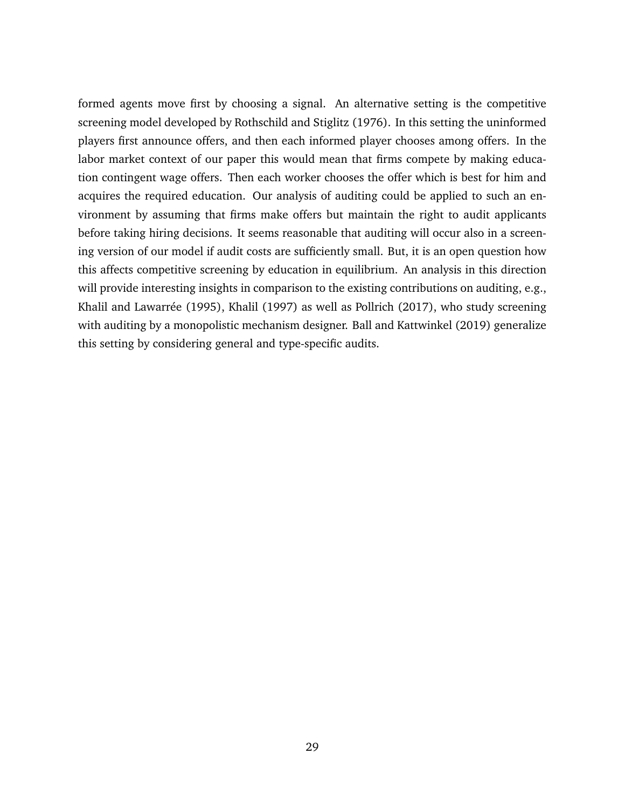formed agents move first by choosing a signal. An alternative setting is the competitive screening model developed by Rothschild and Stiglitz (1976). In this setting the uninformed players first announce offers, and then each informed player chooses among offers. In the labor market context of our paper this would mean that firms compete by making education contingent wage offers. Then each worker chooses the offer which is best for him and acquires the required education. Our analysis of auditing could be applied to such an environment by assuming that firms make offers but maintain the right to audit applicants before taking hiring decisions. It seems reasonable that auditing will occur also in a screening version of our model if audit costs are sufficiently small. But, it is an open question how this affects competitive screening by education in equilibrium. An analysis in this direction will provide interesting insights in comparison to the existing contributions on auditing, e.g., Khalil and Lawarrée (1995), Khalil (1997) as well as Pollrich (2017), who study screening with auditing by a monopolistic mechanism designer. Ball and Kattwinkel (2019) generalize this setting by considering general and type-specific audits.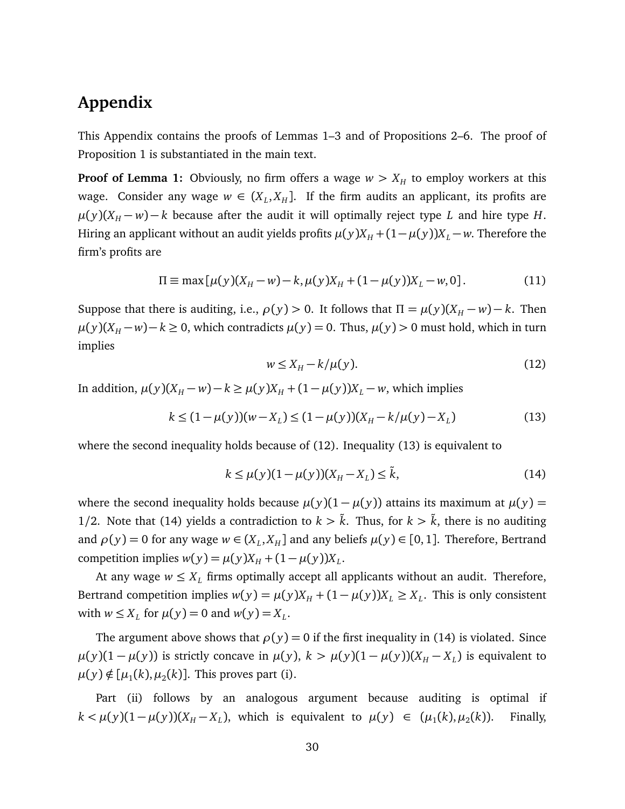# **Appendix**

This Appendix contains the proofs of Lemmas [1](#page-12-1)[–3](#page-19-2) and of Propositions [2](#page-20-0)[–6.](#page-26-0) The proof of Proposition [1](#page-17-0) is substantiated in the main text.

**Proof of Lemma [1:](#page-12-1)** Obviously, no firm offers a wage  $w > X_H$  to employ workers at this wage. Consider any wage  $w \in (X_L, X_H]$ . If the firm audits an applicant, its profits are  $\mu(y)(X_H - w) - k$  because after the audit it will optimally reject type *L* and hire type *H*. Hiring an applicant without an audit yields profits  $\mu(y)X_H + (1 - \mu(y))X_L - w$ . Therefore the firm's profits are

$$
\Pi \equiv \max[\mu(y)(X_H - w) - k, \mu(y)X_H + (1 - \mu(y))X_L - w, 0].
$$
\n(11)

Suppose that there is auditing, i.e.,  $\rho(y) > 0$ . It follows that  $\Pi = \mu(y)(X_H - w) - k$ . Then *µ*(*y*)(*X<sub>H</sub>* − *w*) − *k* ≥ 0, which contradicts  $\mu$ (*y*) = 0. Thus,  $\mu$ (*y*) > 0 must hold, which in turn implies

<span id="page-30-2"></span><span id="page-30-1"></span><span id="page-30-0"></span>
$$
w \le X_H - k/\mu(y). \tag{12}
$$

In addition,  $\mu(y)(X_H - w) - k \ge \mu(y)X_H + (1 - \mu(y))X_L - w$ , which implies

$$
k \le (1 - \mu(y))(w - X_L) \le (1 - \mu(y))(X_H - k/\mu(y) - X_L)
$$
\n(13)

where the second inequality holds because of [\(12\)](#page-30-0). Inequality [\(13\)](#page-30-1) is equivalent to

$$
k \le \mu(y)(1 - \mu(y))(X_H - X_L) \le \tilde{k},\tag{14}
$$

where the second inequality holds because  $\mu(y)(1 - \mu(y))$  attains its maximum at  $\mu(y) =$ 1/2. Note that [\(14\)](#page-30-2) yields a contradiction to  $k > \tilde{k}$ . Thus, for  $k > \tilde{k}$ , there is no auditing and  $\rho(y) = 0$  for any wage  $w \in (X_L, X_H]$  and any beliefs  $\mu(y) \in [0, 1]$ . Therefore, Bertrand competition implies  $w(y) = \mu(y)X_H + (1 - \mu(y))X_L$ .

At any wage  $w \leq X_L$  firms optimally accept all applicants without an audit. Therefore, Bertrand competition implies  $w(y) = \mu(y)X_H + (1 - \mu(y))X_L \ge X_L$ . This is only consistent with  $w \leq X_L$  for  $\mu(y) = 0$  and  $w(y) = X_L$ .

The argument above shows that  $\rho(y) = 0$  if the first inequality in [\(14\)](#page-30-2) is violated. Since  $\mu(y)(1-\mu(y))$  is strictly concave in  $\mu(y)$ ,  $k > \mu(y)(1-\mu(y))(X_H - X_L)$  is equivalent to  $\mu(y) \notin [\mu_1(k), \mu_2(k)]$ . This proves part (i).

Part (ii) follows by an analogous argument because auditing is optimal if  $k < \mu(y)(1 - \mu(y))(X_H - X_L)$ , which is equivalent to  $\mu(y) \in (\mu_1(k), \mu_2)$ (*k*)). Finally,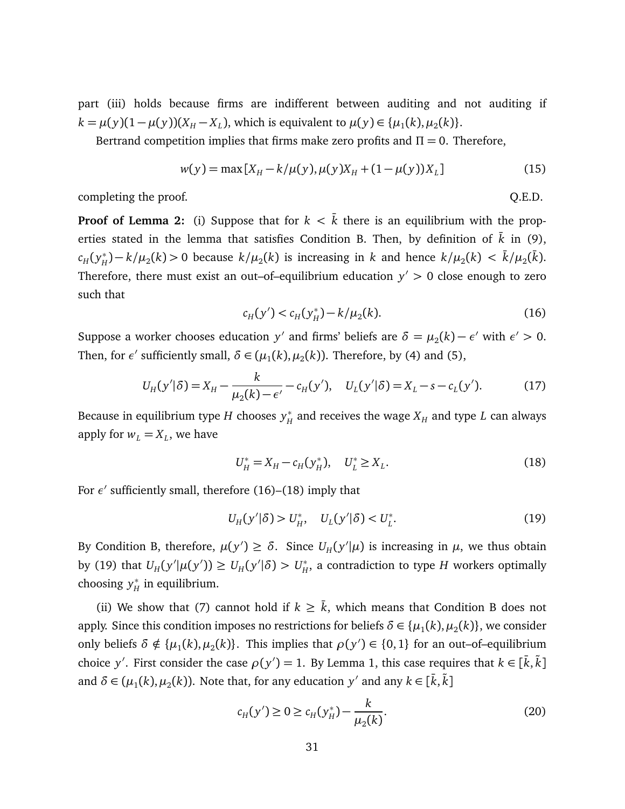part (iii) holds because firms are indifferent between auditing and not auditing if *k* =  $\mu(y)(1 - \mu(y))(X_H - X_L)$ , which is equivalent to  $\mu(y) \in {\mu_1(k), \mu_2(k)}$ .

Bertrand competition implies that firms make zero profits and  $\Pi = 0$ . Therefore,

$$
w(y) = \max [X_H - k/\mu(y), \mu(y)X_H + (1 - \mu(y))X_L]
$$
 (15)

completing the proof.  $Q.E.D.$ 

**Proof of Lemma [2:](#page-17-1)** (i) Suppose that for  $k < \overline{k}$  there is an equilibrium with the prop-erties stated in the lemma that satisfies Condition [B.](#page-15-2) Then, by definition of  $\bar{k}$  in [\(9\)](#page-16-2),  $c_H ( y_H^*$  $\bar{f}_H^*(h) - k/\mu_2(k) > 0$  because  $k/\mu_2(k)$  is increasing in *k* and hence  $k/\mu_2(k) < \bar{k}/\mu_2(\bar{k})$ . Therefore, there must exist an out–of–equilibrium education  $y' > 0$  close enough to zero such that

<span id="page-31-0"></span>
$$
c_H(y') < c_H(y_H^*) - k/\mu_2(k). \tag{16}
$$

Suppose a worker chooses education *y'* and firms' beliefs are  $\delta = \mu_2(k) - \epsilon'$  with  $\epsilon' > 0$ . Then, for  $\epsilon'$  sufficiently small,  $\delta \in (\mu_1(k), \mu_2(k))$ . Therefore, by [\(4\)](#page-13-2) and [\(5\)](#page-13-1),

$$
U_H(y'|\delta) = X_H - \frac{k}{\mu_2(k) - \epsilon'} - c_H(y'), \quad U_L(y'|\delta) = X_L - s - c_L(y').
$$
 (17)

Because in equilibrium type *H* chooses *y* ∗  $_H^*$  and receives the wage  $X_H$  and type  $L$  can always apply for  $w_L = X_L$ , we have

<span id="page-31-1"></span>
$$
U_H^* = X_H - c_H(y_H^*), \quad U_L^* \ge X_L. \tag{18}
$$

For  $\epsilon'$  sufficiently small, therefore [\(16\)](#page-31-0)–[\(18\)](#page-31-1) imply that

<span id="page-31-2"></span>
$$
U_H(y'|\delta) > U_H^*, \quad U_L(y'|\delta) < U_L^*.
$$
 (19)

By Condition [B,](#page-15-2) therefore,  $\mu(y') \ge \delta$ . Since  $U_H(y'|\mu)$  is increasing in  $\mu$ , we thus obtain by [\(19\)](#page-31-2) that  $U_H(y'|\mu(y')) \ge U_H(y'|\delta) > U_H^*$  $_{H}^{*}$ , a contradiction to type  $H$  workers optimally choosing *y* ∗  $_H^*$  in equilibrium.

(ii) We show that [\(7\)](#page-15-3) cannot hold if  $k \geq \overline{k}$ , which means that Condition [B](#page-15-2) does not apply. Since this condition imposes no restrictions for beliefs  $\delta \in {\{\mu_1(k),\mu_2(k)\}}$ , we consider only beliefs  $\delta \notin {\mu_1(k), \mu_2(k)}$ . This implies that  $\rho(y') \in \{0, 1\}$  for an out–of–equilibrium choice *y'*. First consider the case  $\rho(y') = 1$ . By Lemma [1,](#page-12-1) this case requires that  $k \in [\bar{k}, \tilde{k}]$ and  $\delta \in (\mu_1(k), \mu_2(k))$ . Note that, for any education  $y'$  and any  $k \in [\bar{k}, \tilde{k}]$ 

<span id="page-31-3"></span>
$$
c_H(y') \ge 0 \ge c_H(y_H^*) - \frac{k}{\mu_2(k)}.\tag{20}
$$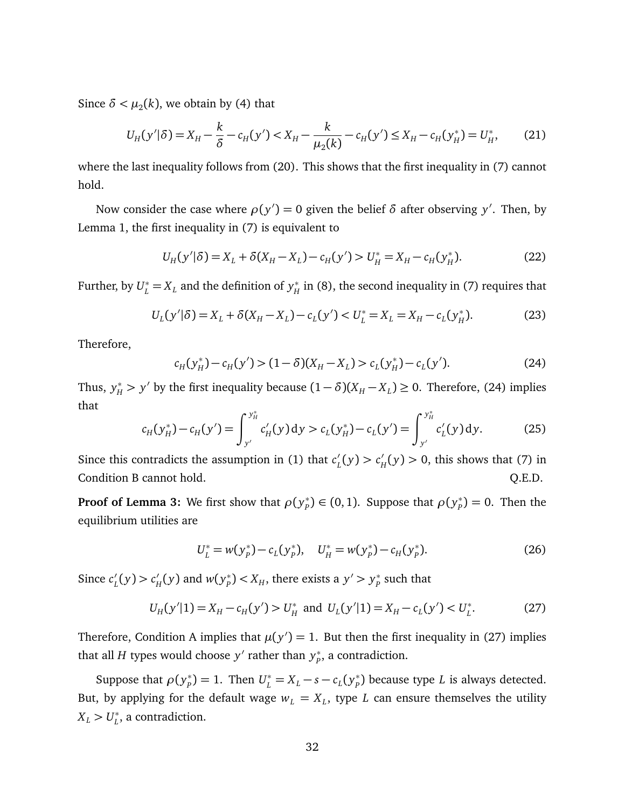Since  $\delta < \mu_2(k)$ , we obtain by [\(4\)](#page-13-2) that

$$
U_H(y'|\delta) = X_H - \frac{k}{\delta} - c_H(y') < X_H - \frac{k}{\mu_2(k)} - c_H(y') \le X_H - c_H(y_H^*) = U_H^*,\tag{21}
$$

where the last inequality follows from [\(20\)](#page-31-3). This shows that the first inequality in [\(7\)](#page-15-3) cannot hold.

Now consider the case where  $\rho(y') = 0$  given the belief  $\delta$  after observing  $y'$ . Then, by Lemma [1,](#page-12-1) the first inequality in [\(7\)](#page-15-3) is equivalent to

$$
U_H(y'|\delta) = X_L + \delta(X_H - X_L) - c_H(y') > U_H^* = X_H - c_H(y_H^*). \tag{22}
$$

Further, by  $U_L^* = X_L$  and the definition of  $y_H^*$  $_{H}^{*}$  in [\(8\)](#page-16-3), the second inequality in [\(7\)](#page-15-3) requires that

$$
U_L(y'|\delta) = X_L + \delta(X_H - X_L) - c_L(y') < U_L^* = X_L = X_H - c_L(y_H^*). \tag{23}
$$

Therefore,

<span id="page-32-0"></span>
$$
c_H(y_H^*) - c_H(y') > (1 - \delta)(X_H - X_L) > c_L(y_H^*) - c_L(y'). \tag{24}
$$

Thus,  $y_H^* > y'$  by the first inequality because  $(1 - \delta)(X_H - X_L) \ge 0$ . Therefore, [\(24\)](#page-32-0) implies that ∗ ∗

$$
c_H(y_H^*) - c_H(y') = \int_{y'}^{y_H^*} c_H'(y) dy > c_L(y_H^*) - c_L(y') = \int_{y'}^{y_H^*} c_L'(y) dy.
$$
 (25)

Since this contradicts the assumption in [\(1\)](#page-8-3) that  $c'$  $L'_{L}(y) > c'_{R}$  $H_H'(y) > 0$ , this shows that [\(7\)](#page-15-3) in Condition [B](#page-15-2) cannot hold.  $Q.E.D.$ 

**Proof of Lemma [3:](#page-19-2)** We first show that  $\rho(y_p^*)$  $P_p^*$ )  $\in (0,1)$ . Suppose that  $\rho(y_p^*)$  $p^*_{p}$ ) = 0. Then the equilibrium utilities are

$$
U_L^* = w(y_p^*) - c_L(y_p^*), \quad U_H^* = w(y_p^*) - c_H(y_p^*).
$$
 (26)

Since  $c'_{\textit{l}}$  $L'_{L}(y) > c'_{R}$  $\psi_H'(y)$  and  $w(y_P^*)$  $p$ <sup>\*</sup> $>y_p$ <sup>\*</sup> $>y_p$ <sup>\*</sup> $y_p$ <sup>\*</sup>  $_{p}^{\ast}$  such that

<span id="page-32-1"></span>
$$
U_H(y'|1) = X_H - c_H(y') > U_H^* \text{ and } U_L(y'|1) = X_H - c_L(y') < U_L^*.
$$
 (27)

Therefore, Condition [A](#page-14-1) implies that  $\mu(y') = 1$ . But then the first inequality in [\(27\)](#page-32-1) implies that all *H* types would choose  $y'$  rather than  $y_p^*$ *P* , a contradiction.

Suppose that  $\rho(y_p^*)$  $P_p^*$ ) = 1. Then  $U_L^* = X_L - s - c_L(y_P^*)$  $_{P}^{*}$ ) because type  $L$  is always detected. But, by applying for the default wage  $w_L = X_L$ , type *L* can ensure themselves the utility  $X_L > U_L^*$ *L* , a contradiction.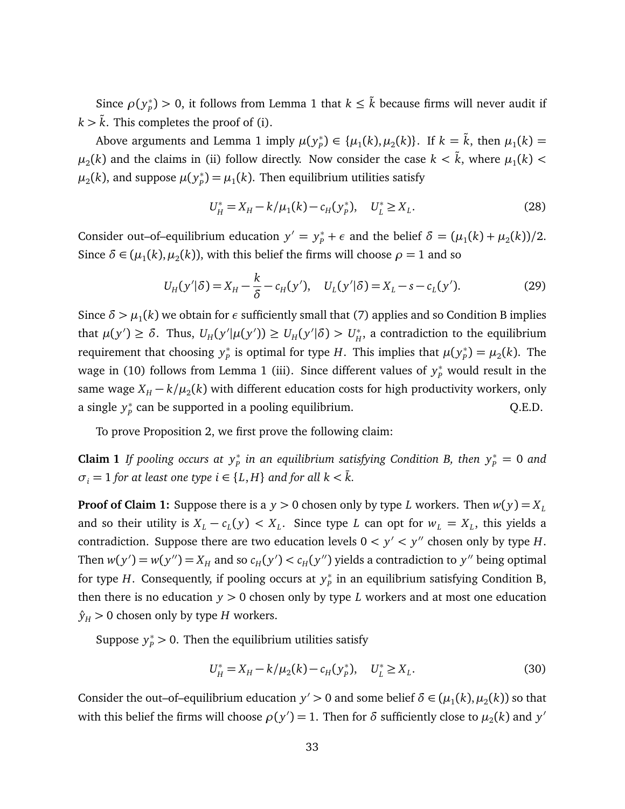Since  $\rho(y_p^*)$  $p^*_{P}$ ) *>* 0, it follows from Lemma [1](#page-12-1) that  $k \leq \tilde{k}$  because firms will never audit if  $k > k$ . This completes the proof of (i).

Above arguments and Lemma [1](#page-12-1) imply  $\mu(y^*_p)$  $P_p^*$   $\in \{\mu_1(k), \mu_2(k)\}.$  If  $k = \tilde{k}$ , then  $\mu_1(k) =$  $\mu_2(k)$  and the claims in (ii) follow directly. Now consider the case  $k < \tilde{k}$ , where  $\mu_1(k) <$  $\mu_2(k)$ , and suppose  $\mu(y_p^*)$  $\mu_p^*$ )  $=$   $\mu_1(k)$ . Then equilibrium utilities satisfy

$$
U_H^* = X_H - k/\mu_1(k) - c_H(y_p^*), \quad U_L^* \ge X_L. \tag{28}
$$

Consider out–of–equilibrium education  $y' = y_p^* + \epsilon$  and the belief  $\delta = (\mu_1(k) + \mu_2(k))/2$ . Since  $\delta \in (\mu_1(k), \mu_2(k))$ , with this belief the firms will choose  $\rho = 1$  and so

<span id="page-33-0"></span>
$$
U_H(y'|\delta) = X_H - \frac{k}{\delta} - c_H(y'), \quad U_L(y'|\delta) = X_L - s - c_L(y').
$$
 (29)

Since  $\delta > \mu_1(k)$  we obtain for  $\epsilon$  sufficiently small that [\(7\)](#page-15-3) applies and so Condition [B](#page-15-2) implies that  $\mu(y') \ge \delta$ . Thus,  $U_H(y'|\mu(y')) \ge U_H(y'|\delta) > U_H^*$  $_{H}^{*}$ , a contradiction to the equilibrium requirement that choosing *y* ∗  $\mu_p^*$  is optimal for type *H*. This implies that  $\mu(y_p^*)$  $p_{p}^{*}$ ) =  $\mu_{2}(k)$ . The wage in [\(10\)](#page-19-3) follows from Lemma [1](#page-12-1) (iii). Since different values of  $y_p^*$  would result in the same wage  $X_H - k/\mu_2(k)$  with different education costs for high productivity workers, only a single *y* ∗  $P<sub>p</sub><sup>*</sup>$  can be supported in a pooling equilibrium.  $Q.E.D.$ 

To prove Proposition 2, we first prove the following claim:

**Claim 1** If pooling occurs at  $y_p^*$  in an equilibrium satisfying Condition [B,](#page-15-2) then  $y_p^* = 0$  and  $\sigma_i = 1$  *for at least one type i*  $\in \{L, H\}$  *and for all k* <  $\overline{k}$ *.* 

**Proof of Claim [1:](#page-33-0)** Suppose there is a  $y > 0$  chosen only by type *L* workers. Then  $w(y) = X_L$ and so their utility is  $X_L - c_L(y) < X_L$ . Since type *L* can opt for  $w_L = X_L$ , this yields a contradiction. Suppose there are two education levels  $0 < y' < y''$  chosen only by type *H*. Then  $w(y') = w(y'') = X_H$  and so  $c_H(y') < c_H(y'')$  yields a contradiction to  $y''$  being optimal for type *H*. Consequently, if pooling occurs at *y* ∗  $_{p}^{\ast}$  in an equilibrium satisfying Condition [B,](#page-15-2) then there is no education  $y > 0$  chosen only by type *L* workers and at most one education  $\hat{y}_H > 0$  chosen only by type *H* workers.

Suppose  $y_p^* > 0$ . Then the equilibrium utilities satisfy

$$
U_H^* = X_H - k/\mu_2(k) - c_H(y_p^*), \quad U_L^* \ge X_L. \tag{30}
$$

Consider the out–of–equilibrium education  $y' > 0$  and some belief  $\delta \in (\mu_1(k), \mu_2(k))$  so that with this belief the firms will choose  $\rho(y') = 1$ . Then for  $\delta$  sufficiently close to  $\mu_2(k)$  and  $y'$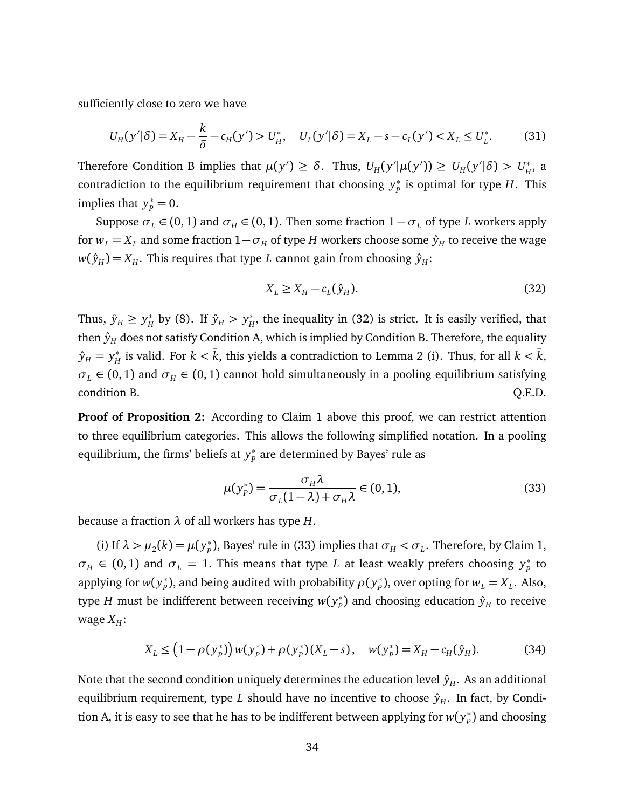sufficiently close to zero we have

$$
U_H(y'|\delta) = X_H - \frac{k}{\delta} - c_H(y') > U_H^*, \quad U_L(y'|\delta) = X_L - s - c_L(y') < X_L \le U_L^*.\tag{31}
$$

Therefore Condition [B](#page-15-2) implies that  $\mu(y') \ge \delta$ . Thus,  $U_H(y'|\mu(y')) \ge U_H(y'|\delta) > U_H^*$ *H* , a contradiction to the equilibrium requirement that choosing *y* ∗  $_{P}^{*}$  is optimal for type *H*. This implies that  $y_p^* = 0$ .

Suppose  $\sigma_L \in (0, 1)$  and  $\sigma_H \in (0, 1)$ . Then some fraction  $1 - \sigma_L$  of type *L* workers apply for  $w_L = X_L$  and some fraction  $1 - \sigma_H$  of type *H* workers choose some  $\hat{y}_H$  to receive the wage  $w(\hat{y}_H) = X_H$ . This requires that type *L* cannot gain from choosing  $\hat{y}_H$ :

<span id="page-34-0"></span>
$$
X_L \ge X_H - c_L(\hat{y}_H). \tag{32}
$$

Thus,  $\hat{y}_H \ge y_H^*$  $y_H^*$  by [\(8\)](#page-16-3). If  $\hat{y}_H > y_H^*$  $_H^*$ , the inequality in [\(32\)](#page-34-0) is strict. It is easily verified, that then  $\hat{y}_H$  does not satisfy Condition [A,](#page-14-1) which is implied by Condition [B.](#page-15-2) Therefore, the equality  $\hat{y}_H = y_H^*$  $_{H}^{*}$  is valid. For  $k < \bar{k}$ , this yields a contradiction to Lemma [2](#page-17-1) (i). Thus, for all  $k < \bar{k}$ ,  $\sigma_L \in (0, 1)$  and  $\sigma_H \in (0, 1)$  cannot hold simultaneously in a pooling equilibrium satisfying condition [B.](#page-15-2) Q.E.D.

**Proof of Proposition [2:](#page-20-0)** According to Claim [1](#page-33-0) above this proof, we can restrict attention to three equilibrium categories. This allows the following simplified notation. In a pooling equilibrium, the firms' beliefs at *y* ∗  $_{p}^{\ast}$  are determined by Bayes' rule as

<span id="page-34-1"></span>
$$
\mu(y_p^*) = \frac{\sigma_H \lambda}{\sigma_L (1 - \lambda) + \sigma_H \lambda} \in (0, 1),\tag{33}
$$

because a fraction *λ* of all workers has type *H*.

(i) If  $\lambda > \mu_2(k) = \mu(y_p^*)$  $P_p^*$ ), Bayes' rule in [\(33\)](#page-34-1) implies that  $\sigma_H < \sigma_L$ . Therefore, by Claim [1,](#page-33-0)  $\sigma_H \in (0,1)$  and  $\sigma_L = 1$ . This means that type *L* at least weakly prefers choosing  $y_p^*$  $_{p}^{*}$  to applying for *w*( $y_p^*$  $_{p}^{*}$ ), and being audited with probability  $\rho(y_{p}^{*})$  $P_{P}^{*}$ ), over opting for  $w_{L} = X_{L}$ . Also, type  $H$  must be indifferent between receiving  $w(y^*_p)$  $_{p}^{\ast})$  and choosing education  $\hat{y}_{H}$  to receive wage  $X_H$ :

<span id="page-34-2"></span>
$$
X_L \leq (1 - \rho(y_p^*)) w(y_p^*) + \rho(y_p^*)(X_L - s), \quad w(y_p^*) = X_H - c_H(\hat{y}_H). \tag{34}
$$

Note that the second condition uniquely determines the education level  $\hat{y}_H$ . As an additional equilibrium requirement, type *L* should have no incentive to choose  $\hat{y}_H$ . In fact, by Condi-tion [A,](#page-14-1) it is easy to see that he has to be indifferent between applying for  $w(y^*_p)$  $_{p}^{\ast}$ ) and choosing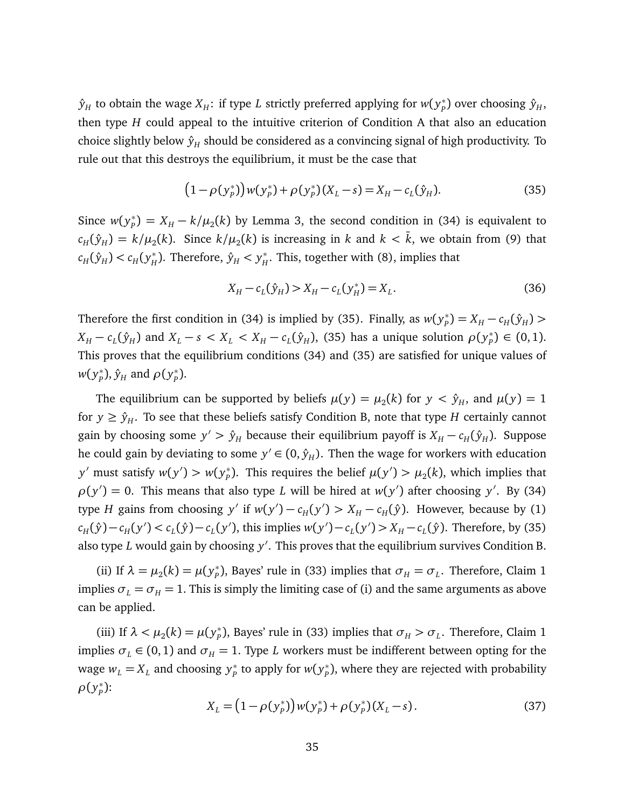$\hat{y}_H$  to obtain the wage  $X_H$ : if type  $L$  strictly preferred applying for  $w(y^*_P)$  $p^*$ ) over choosing  $\hat{y}_H$ , then type *H* could appeal to the intuitive criterion of Condition [A](#page-14-1) that also an education choice slightly below  $\hat{y}_H$  should be considered as a convincing signal of high productivity. To rule out that this destroys the equilibrium, it must be the case that

<span id="page-35-0"></span>
$$
(1 - \rho(y_P^*)) w(y_P^*) + \rho(y_P^*)(X_L - s) = X_H - c_L(\hat{y}_H). \tag{35}
$$

Since  $w(y_p^*)$  $P_p^*$ ) =  $X_H - k/\mu_2(k)$  by Lemma [3,](#page-19-2) the second condition in [\(34\)](#page-34-2) is equivalent to  $c_H(\hat{y}_H) = k/\mu_2(k)$ . Since  $k/\mu_2(k)$  is increasing in  $k$  and  $k < \bar{k}$ , we obtain from [\(9\)](#page-16-2) that  $c_H(\hat{y}_H) < c_H(y_H^*)$  $f_H^*$ ). Therefore,  $\hat{y}_H < y_H^*$  $_H^*$ . This, together with [\(8\)](#page-16-3), implies that

$$
X_H - c_L(\hat{y}_H) > X_H - c_L(y_H^*) = X_L. \tag{36}
$$

Therefore the first condition in [\(34\)](#page-34-2) is implied by [\(35\)](#page-35-0). Finally, as  $w(y_p^*)$  $P_{P}^{*}$ ) =  $X_{H} - c_{H}(\hat{y}_{H})$  >  $X_H - c_L(\hat{y}_H)$  and  $X_L - s < X_L < X_H - c_L(\hat{y}_H)$ , [\(35\)](#page-35-0) has a unique solution  $\rho(y_p^*)$  $_{p}^{*}$ )  $\in (0,1)$ . This proves that the equilibrium conditions [\(34\)](#page-34-2) and [\(35\)](#page-35-0) are satisfied for unique values of *w*( *y* ∗  $\hat{y}_p$ ),  $\hat{y}_H$  and  $\rho(y_p^*)$ *P* ).

The equilibrium can be supported by beliefs  $\mu(y) = \mu_2(k)$  for  $y < \hat{y}_H$ , and  $\mu(y) = 1$ for  $y \ge \hat{y}_H$ . To see that these beliefs satisfy Condition [B,](#page-15-2) note that type *H* certainly cannot gain by choosing some  $y' > \hat{y}_H$  because their equilibrium payoff is  $X_H - c_H(\hat{y}_H)$ . Suppose he could gain by deviating to some  $y' \in (0, \hat{y}_H)$ . Then the wage for workers with education *y*' must satisfy  $w(y') > w(y_p^*)$ <sup>\*</sup><sub>*P*</sub>). This requires the belief  $\mu(y') > \mu_2(k)$ , which implies that  $\rho(y') = 0$ . This means that also type *L* will be hired at  $w(y')$  after choosing y'. By [\(34\)](#page-34-2) type *H* gains from choosing *y'* if  $w(y') - c_H(y') > X_H - c_H(\hat{y})$ . However, because by [\(1\)](#page-8-3)  $c_H(\hat{y}) - c_H(y') < c_L(\hat{y}) - c_L(y')$ , this implies  $w(y') - c_L(y') > X_H - c_L(\hat{y})$ . Therefore, by [\(35\)](#page-35-0) also type *L* would gain by choosing y'. This proves that the equilibrium survives Condition [B.](#page-15-2)

(ii) If  $\lambda = \mu_2(k) = \mu(y_p^*)$  $P_p$ ), Bayes' rule in [\(33\)](#page-34-1) implies that  $\sigma_H = \sigma_L$ . Therefore, Claim [1](#page-33-0) implies  $\sigma_L = \sigma_H = 1$ . This is simply the limiting case of (i) and the same arguments as above can be applied.

(iii) If  $\lambda < \mu_2(k) = \mu(y_p^*)$  $P_p^*$ ), Bayes' rule in [\(33\)](#page-34-1) implies that  $\sigma_H > \sigma_L$ . Therefore, Claim [1](#page-33-0) implies  $\sigma_L \in (0, 1)$  and  $\sigma_H = 1$ . Type *L* workers must be indifferent between opting for the wage  $w_L = X_L$  and choosing  $y_P^*$ <sup>\*</sup>/<sub>*P*</sub> to apply for  $w(y_p^*)$ *P* ), where they are rejected with probability *ρ*( *y* ∗ *P* ):

<span id="page-35-1"></span>
$$
X_L = (1 - \rho(y_p^*)) w(y_p^*) + \rho(y_p^*)(X_L - s).
$$
\n(37)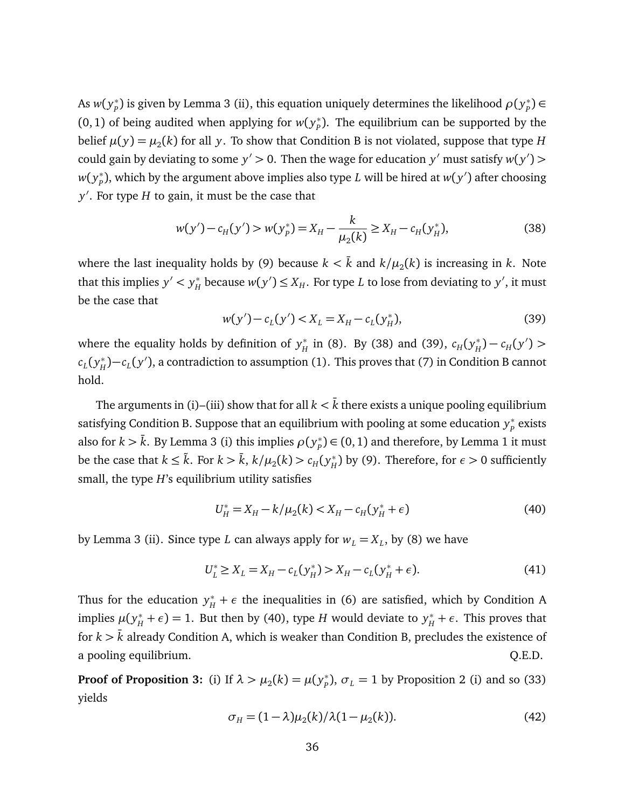As  $w(y_p^*)$  $_{p}^{*}$ ) is given by Lemma [3](#page-19-2) (ii), this equation uniquely determines the likelihood  $\rho(y_{p}^{*})$ *P* ) ∈ (0, 1) of being audited when applying for  $w(y_p^*)$ *P* ). The equilibrium can be supported by the belief  $\mu(y) = \mu_2(k)$  for all  $y$ . To show that Condition [B](#page-15-2) is not violated, suppose that type  $H$ could gain by deviating to some  $y' > 0$ . Then the wage for education  $y'$  must satisfy  $w(y') > 0$ *w*( *y* ∗  $P_p^*$ ), which by the argument above implies also type *L* will be hired at  $w(y')$  after choosing *y* 0 . For type *H* to gain, it must be the case that

<span id="page-36-0"></span>
$$
w(y') - c_H(y') > w(y_p^*) = X_H - \frac{k}{\mu_2(k)} \ge X_H - c_H(y_H^*),\tag{38}
$$

where the last inequality holds by [\(9\)](#page-16-2) because  $k < \bar{k}$  and  $k/\mu_2(k)$  is increasing in  $k$ . Note that this implies  $y' < y_H^*$  $H$ <sup>+</sup> because  $w(y') \le X_H$ . For type *L* to lose from deviating to *y'*, it must be the case that

<span id="page-36-1"></span>
$$
w(y') - c_L(y') < X_L = X_H - c_L(y_H^*),\tag{39}
$$

where the equality holds by definition of *y* ∗  $_{H}^{*}$  in [\(8\)](#page-16-3). By [\(38\)](#page-36-0) and [\(39\)](#page-36-1),  $c_{H}(y_{H}^{*})$  $C_H(y')$  >  $c_L(y_H^*)$ *<sup>\*</sup>H*)−*c<sub>L</sub>*(y'), a contradiction to assumption [\(1\)](#page-8-3). This proves that [\(7\)](#page-15-3) in Condition [B](#page-15-2) cannot hold.

The arguments in (i)–(iii) show that for all  $k < \bar{k}$  there exists a unique pooling equilibrium satisfying Condition [B.](#page-15-2) Suppose that an equilibrium with pooling at some education *y* ∗ *P* exists also for  $k > \bar{k}$ . By Lemma [3](#page-19-2) (i) this implies  $\rho(y^*_p)$  $P_p^*$ )  $\in$  (0, [1](#page-12-1)) and therefore, by Lemma 1 it must be the case that  $k \leq \tilde{k}$ . For  $k > \bar{k}$ ,  $k/\mu_2(k) > c_H(y_H^*)$  $_H^*$ ) by [\(9\)](#page-16-2). Therefore, for  $\epsilon > 0$  sufficiently small, the type *H*'s equilibrium utility satisfies

<span id="page-36-2"></span>
$$
U_H^* = X_H - k/\mu_2(k) < X_H - c_H(y_H^* + \epsilon) \tag{40}
$$

by Lemma [3](#page-19-2) (ii). Since type *L* can always apply for  $w_L = X_L$ , by [\(8\)](#page-16-3) we have

$$
U_L^* \ge X_L = X_H - c_L(y_H^*) > X_H - c_L(y_H^* + \epsilon). \tag{41}
$$

Thus for the education  $y^*$  +  $\epsilon$  the inequalities in [\(6\)](#page-14-0) are satisfied, which by Condition [A](#page-14-1) implies  $\mu(y_H^* + \epsilon) = 1$ . But then by [\(40\)](#page-36-2), type *H* would deviate to  $y_H^* + \epsilon$ . This proves that for  $k > \overline{k}$  already Condition [A,](#page-14-1) which is weaker than Condition [B,](#page-15-2) precludes the existence of a pooling equilibrium.  $Q.E.D.$ 

**Proof of Proposition [3:](#page-23-2)** (i) If  $\lambda > \mu_2(k) = \mu(y_p^*)$  $P_p^*$ ),  $\sigma_L = 1$  by Proposition [2](#page-20-0) (i) and so [\(33\)](#page-34-1) yields

$$
\sigma_H = (1 - \lambda)\mu_2(k)/\lambda(1 - \mu_2(k)).\tag{42}
$$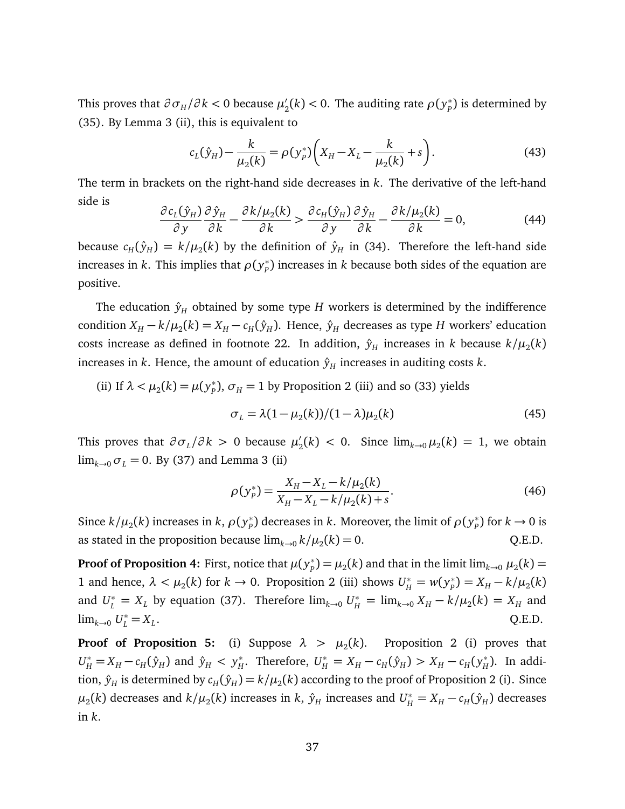This proves that  $\partial \sigma_H / \partial k < 0$  because  $\mu_2'$  $\varphi_2'(k)$  < 0. The auditing rate  $\rho(y_p^*)$  $_{p}^{\ast}$ ) is determined by [\(35\)](#page-35-0). By Lemma [3](#page-19-2) (ii), this is equivalent to

$$
c_L(\hat{y}_H) - \frac{k}{\mu_2(k)} = \rho(y_P^*) \bigg( X_H - X_L - \frac{k}{\mu_2(k)} + s \bigg). \tag{43}
$$

The term in brackets on the right-hand side decreases in *k*. The derivative of the left-hand side is

$$
\frac{\partial c_L(\hat{y}_H)}{\partial y} \frac{\partial \hat{y}_H}{\partial k} - \frac{\partial k/\mu_2(k)}{\partial k} > \frac{\partial c_H(\hat{y}_H)}{\partial y} \frac{\partial \hat{y}_H}{\partial k} - \frac{\partial k/\mu_2(k)}{\partial k} = 0,\tag{44}
$$

because  $c_H(\hat{y}_H) = k/\mu_2(k)$  by the definition of  $\hat{y}_H$  in [\(34\)](#page-34-2). Therefore the left-hand side increases in  $k$ . This implies that  $\rho(y^*_p)$ *P* ) increases in *k* because both sides of the equation are positive.

The education  $\hat{y}_H$  obtained by some type *H* workers is determined by the indifference condition  $X_H - k/\mu_2(k) = X_H - c_H(\hat{y}_H)$ . Hence,  $\hat{y}_H$  decreases as type *H* workers' education costs increase as defined in footnote [22.](#page-23-1) In addition,  $\hat{y}_H$  increases in  $k$  because  $k/\mu_2(k)$ increases in *k*. Hence, the amount of education  $\hat{y}_H$  increases in auditing costs *k*.

(ii) If  $\lambda < \mu_2(k) = \mu(y_p^*)$  $p_p^*$ ),  $\sigma_H$  = 1 by Proposition [2](#page-20-0) (iii) and so [\(33\)](#page-34-1) yields

$$
\sigma_L = \lambda (1 - \mu_2(k))/(1 - \lambda)\mu_2(k) \tag{45}
$$

This proves that  $\partial \sigma_L / \partial k > 0$  because  $\mu'_2$  $\sum_{2}^{\prime}(k) < 0$ . Since  $\lim_{k\to 0} \mu_2(k) = 1$ , we obtain  $\lim_{k\to 0} \sigma_L = 0$ . By [\(37\)](#page-35-1) and Lemma [3](#page-19-2) (ii)

$$
\rho(y_p^*) = \frac{X_H - X_L - k/\mu_2(k)}{X_H - X_L - k/\mu_2(k) + s}.
$$
\n(46)

Since  $k/\mu_2(k)$  increases in  $k, \rho(y^*_p)$  $\mathcal{P}_p^*$ ) decreases in *k*. Moreover, the limit of  $\rho(\mathcal{y}_p^*)$  $_{p}^{*}$ ) for  $k \rightarrow 0$  is as stated in the proposition because  $\lim_{k\to 0} k/\mu_2(k) = 0$ . Q.E.D.

**Proof of Proposition [4:](#page-25-1)** First, notice that  $\mu(y^*_p)$  $p^*_{(p)} = \mu_2(k)$  and that in the limit  $\lim_{k\to 0} \mu_2(k) = 0$ 1 and hence,  $\lambda < \mu_2(k)$  for  $k \to 0$ . Proposition [2](#page-20-0) (iii) shows  $U^*_{H} = w(y^*_{P})$  $P_p^*$ ) =  $X_H - k/\mu_2(k)$ and  $U_L^* = X_L$  by equation [\(37\)](#page-35-1). Therefore  $\lim_{k\to 0} U_H^* = \lim_{k\to 0} X_H - k/\mu_2(k) = X_H$  and  $\lim_{k\to 0} U_L^* = X_L$ . Q.E.D.

**Proof of Proposition [5:](#page-26-1)** (i) Suppose  $\lambda > \mu_2(k)$ . Proposition [2](#page-20-0) (i) proves that  $U_H^* = X_H - c_H(\hat{y}_H)$  and  $\hat{y}_H < y_H^*$  $H^*$ . Therefore,  $U^*_H = X_H - c_H(\hat{y}_H) > X_H - c_H(y_H^*)$  $_H^*$ ). In addition,  $\hat{y}_H$  is determined by  $c_H(\hat{y}_H)$   $=$   $k/\mu_2(k)$  according to the proof of Proposition [2](#page-20-0) (i). Since  $\mu_2(k)$  decreases and  $k/\mu_2(k)$  increases in *k*,  $\hat{y}_H$  increases and  $U^*_H = X_H - c_H(\hat{y}_H)$  decreases in *k*.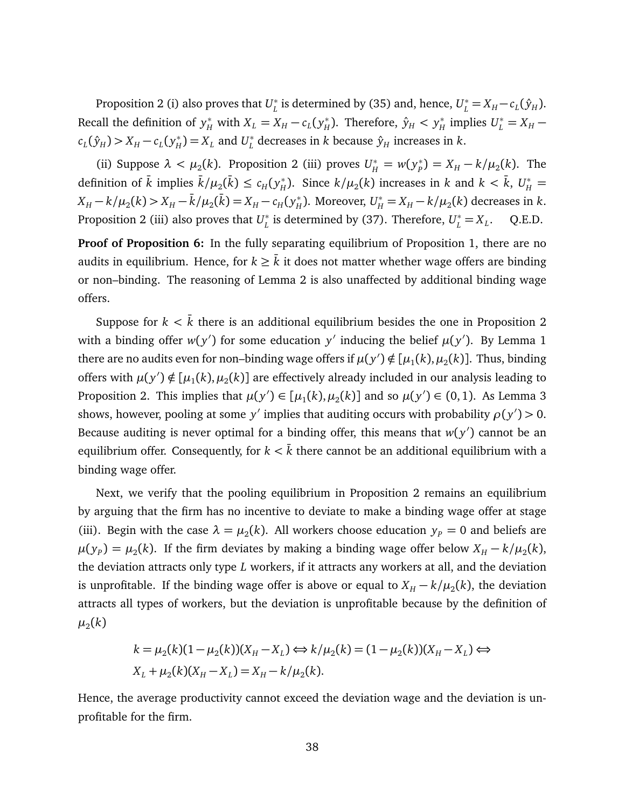Proposition [2](#page-20-0) (i) also proves that *U* ∗  $L$ <sup>\*</sup> is determined by [\(35\)](#page-35-0) and, hence,  $U_L^* = X_H - c_L(\hat{y}_H)$ . Recall the definition of  $y_H^*$  with  $X_L = X_H - c_L(y_H^*)$  $f_H^*$ ). Therefore,  $\hat{y}_H < y_H^*$  $U_L^* = X_H$  –  $c_L(\hat{y}_H) > X_H - c_L(y_H^*)$  $H_H^*$ ) =  $X_L$  and  $U_L^*$  $_L^*$  decreases in  $k$  because  $\hat{y}_H$  increases in  $k.$ 

(ii) Suppose  $\lambda < \mu_2(k)$ . Proposition [2](#page-20-0) (iii) proves  $U^*_{H} = w(y^*_{P})$  $P_p^*$ ) =  $X_H - k/\mu_2(k)$ . The definition of  $\bar{k}$  implies  $\bar{k}/\mu_2(\bar{k}) \leq c_H(y_H^*)$  $H_H^*$ ). Since  $k/\mu_2(k)$  increases in *k* and  $k < \bar{k}$ ,  $U_H^* =$  $X_H - k/\mu_2(k) > X_H - \bar{k}/\mu_2(\bar{k}) = X_H - c_H(y_H^*)$  $H$ <sup>\*</sup><sub>*H*</sub>). Moreover,  $U_H^* = X_H - k/\mu_2(k)$  decreases in *k*. Proposition [2](#page-20-0) (iii) also proves that *U* ∗  $L$ <sup>\*</sup> is determined by [\(37\)](#page-35-1). Therefore,  $U_L^* = X_L$ . Q.E.D.

**Proof of Proposition [6:](#page-26-0)** In the fully separating equilibrium of Proposition [1,](#page-17-0) there are no audits in equilibrium. Hence, for  $k \geq \overline{k}$  it does not matter whether wage offers are binding or non–binding. The reasoning of Lemma [2](#page-17-1) is also unaffected by additional binding wage offers.

Suppose for  $k < \bar{k}$  there is an additional equilibrium besides the one in Proposition [2](#page-20-0) with a binding offer  $w(y')$  for some education  $y'$  inducing the belief  $\mu(y')$ . By Lemma [1](#page-12-1) there are no audits even for non–binding wage offers if  $\mu(y')$   $\notin$   $[\mu_1(k),\mu_2(k)]$ . Thus, binding offers with  $\mu(y') \notin [\mu_1(k), \mu_2(k)]$  are effectively already included in our analysis leading to Proposition [2.](#page-20-0) This implies that  $\mu(y') \in [\mu_1(k), \mu_2(k)]$  and so  $\mu(y') \in (0, 1)$ . As Lemma [3](#page-19-2) shows, however, pooling at some *y'* implies that auditing occurs with probability  $\rho(y')$  > 0. Because auditing is never optimal for a binding offer, this means that  $w(y')$  cannot be an equilibrium offer. Consequently, for  $k < \bar{k}$  there cannot be an additional equilibrium with a binding wage offer.

Next, we verify that the pooling equilibrium in Proposition [2](#page-20-0) remains an equilibrium by arguing that the firm has no incentive to deviate to make a binding wage offer at stage (iii). Begin with the case  $\lambda = \mu_2(k)$ . All workers choose education  $y_p = 0$  and beliefs are  $\mu(y_P) = \mu_2(k)$ . If the firm deviates by making a binding wage offer below  $X_H - k/\mu_2(k)$ , the deviation attracts only type *L* workers, if it attracts any workers at all, and the deviation is unprofitable. If the binding wage offer is above or equal to  $X_H - k/\mu_2(k)$ , the deviation attracts all types of workers, but the deviation is unprofitable because by the definition of  $\mu_2(k)$ 

$$
k = \mu_2(k)(1 - \mu_2(k))(X_H - X_L) \Longleftrightarrow k/\mu_2(k) = (1 - \mu_2(k))(X_H - X_L) \Longleftrightarrow
$$
  
 
$$
X_L + \mu_2(k)(X_H - X_L) = X_H - k/\mu_2(k).
$$

Hence, the average productivity cannot exceed the deviation wage and the deviation is unprofitable for the firm.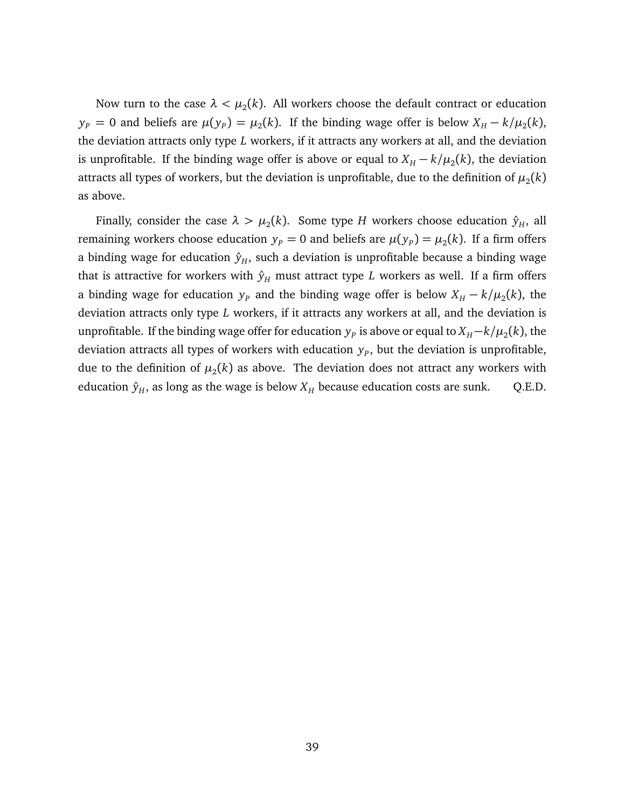Now turn to the case  $\lambda < \mu_2(k).$  All workers choose the default contract or education  $y_p = 0$  and beliefs are  $\mu(y_p) = \mu_2(k)$ . If the binding wage offer is below  $X_H - k/\mu_2(k)$ , the deviation attracts only type *L* workers, if it attracts any workers at all, and the deviation is unprofitable. If the binding wage offer is above or equal to  $X_H - k/\mu_2(k)$ , the deviation attracts all types of workers, but the deviation is unprofitable, due to the definition of  $\mu_2(k)$ as above.

Finally, consider the case  $\lambda > \mu_2(k)$ . Some type  $H$  workers choose education  $\hat{y}_H$ , all remaining workers choose education  $y_p = 0$  and beliefs are  $\mu(y_p) = \mu_2(k)$ . If a firm offers a binding wage for education  $\hat{y}_H$ , such a deviation is unprofitable because a binding wage that is attractive for workers with  $\hat{y}_H$  must attract type *L* workers as well. If a firm offers a binding wage for education  $y_p$  and the binding wage offer is below  $X_H - k/\mu_2(k)$ , the deviation attracts only type *L* workers, if it attracts any workers at all, and the deviation is unprofitable. If the binding wage offer for education  $y_{p}$  is above or equal to  $X_{H} \!-\! k/\mu_{2}(k)$ , the deviation attracts all types of workers with education  $y_p$ , but the deviation is unprofitable, due to the definition of  $\mu_2(k)$  as above. The deviation does not attract any workers with education  $\hat{y}_H$ , as long as the wage is below  $X_H$  because education costs are sunk. Q.E.D.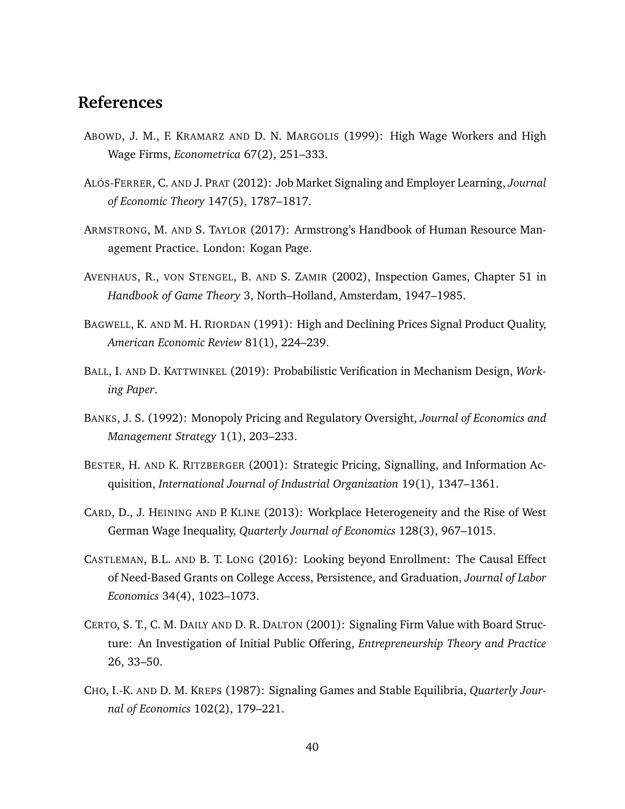### **References**

- ABOWD, J. M., F. KRAMARZ AND D. N. MARGOLIS (1999): High Wage Workers and High Wage Firms, *Econometrica* 67(2), 251–333.
- ALÓS-FERRER, C. AND J. PRAT (2012): Job Market Signaling and Employer Learning, *Journal of Economic Theory* 147(5), 1787–1817.
- ARMSTRONG, M. AND S. TAYLOR (2017): Armstrong's Handbook of Human Resource Management Practice. London: Kogan Page.
- AVENHAUS, R., VON STENGEL, B. AND S. ZAMIR (2002), Inspection Games, Chapter 51 in *Handbook of Game Theory* 3, North–Holland, Amsterdam, 1947–1985.
- BAGWELL, K. AND M. H. RIORDAN (1991): High and Declining Prices Signal Product Quality, *American Economic Review* 81(1), 224–239.
- BALL, I. AND D. KATTWINKEL (2019): Probabilistic Verification in Mechanism Design, *Working Paper*.
- BANKS, J. S. (1992): Monopoly Pricing and Regulatory Oversight, *Journal of Economics and Management Strategy* 1(1), 203–233.
- BESTER, H. AND K. RITZBERGER (2001): Strategic Pricing, Signalling, and Information Acquisition, *International Journal of Industrial Organization* 19(1), 1347–1361.
- CARD, D., J. HEINING AND P. KLINE (2013): Workplace Heterogeneity and the Rise of West German Wage Inequality, *Quarterly Journal of Economics* 128(3), 967–1015.
- CASTLEMAN, B.L. AND B. T. LONG (2016): Looking beyond Enrollment: The Causal Effect of Need-Based Grants on College Access, Persistence, and Graduation, *Journal of Labor Economics* 34(4), 1023–1073.
- CERTO, S. T., C. M. DAILY AND D. R. DALTON (2001): Signaling Firm Value with Board Structure: An Investigation of Initial Public Offering, *Entrepreneurship Theory and Practice* 26, 33–50.
- CHO, I.-K. AND D. M. KREPS (1987): Signaling Games and Stable Equilibria, *Quarterly Journal of Economics* 102(2), 179–221.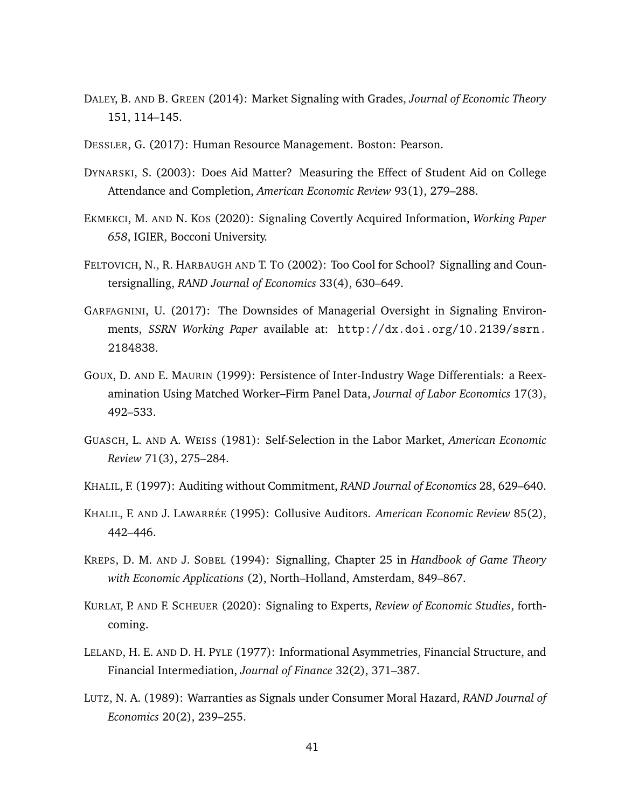- DALEY, B. AND B. GREEN (2014): Market Signaling with Grades, *Journal of Economic Theory* 151, 114–145.
- DESSLER, G. (2017): Human Resource Management. Boston: Pearson.
- DYNARSKI, S. (2003): Does Aid Matter? Measuring the Effect of Student Aid on College Attendance and Completion, *American Economic Review* 93(1), 279–288.
- EKMEKCI, M. AND N. KOS (2020): Signaling Covertly Acquired Information, *Working Paper 658*, IGIER, Bocconi University.
- FELTOVICH, N., R. HARBAUGH AND T. TO (2002): Too Cool for School? Signalling and Countersignalling, *RAND Journal of Economics* 33(4), 630–649.
- GARFAGNINI, U. (2017): The Downsides of Managerial Oversight in Signaling Environments, *SSRN Working Paper* available at: [http://dx.doi.org/10.2139/ssrn.](http://dx.doi.org/10.2139/ssrn.2184838) [2184838](http://dx.doi.org/10.2139/ssrn.2184838).
- GOUX, D. AND E. MAURIN (1999): Persistence of Inter-Industry Wage Differentials: a Reexamination Using Matched Worker–Firm Panel Data, *Journal of Labor Economics* 17(3), 492–533.
- GUASCH, L. AND A. WEISS (1981): Self-Selection in the Labor Market, *American Economic Review* 71(3), 275–284.
- KHALIL, F. (1997): Auditing without Commitment, *RAND Journal of Economics* 28, 629–640.
- KHALIL, F. AND J. LAWARRÉE (1995): Collusive Auditors. *American Economic Review* 85(2), 442–446.
- KREPS, D. M. AND J. SOBEL (1994): Signalling, Chapter 25 in *Handbook of Game Theory with Economic Applications* (2), North–Holland, Amsterdam, 849–867.
- KURLAT, P. AND F. SCHEUER (2020): Signaling to Experts, *Review of Economic Studies*, forthcoming.
- LELAND, H. E. AND D. H. PYLE (1977): Informational Asymmetries, Financial Structure, and Financial Intermediation, *Journal of Finance* 32(2), 371–387.
- LUTZ, N. A. (1989): Warranties as Signals under Consumer Moral Hazard, *RAND Journal of Economics* 20(2), 239–255.